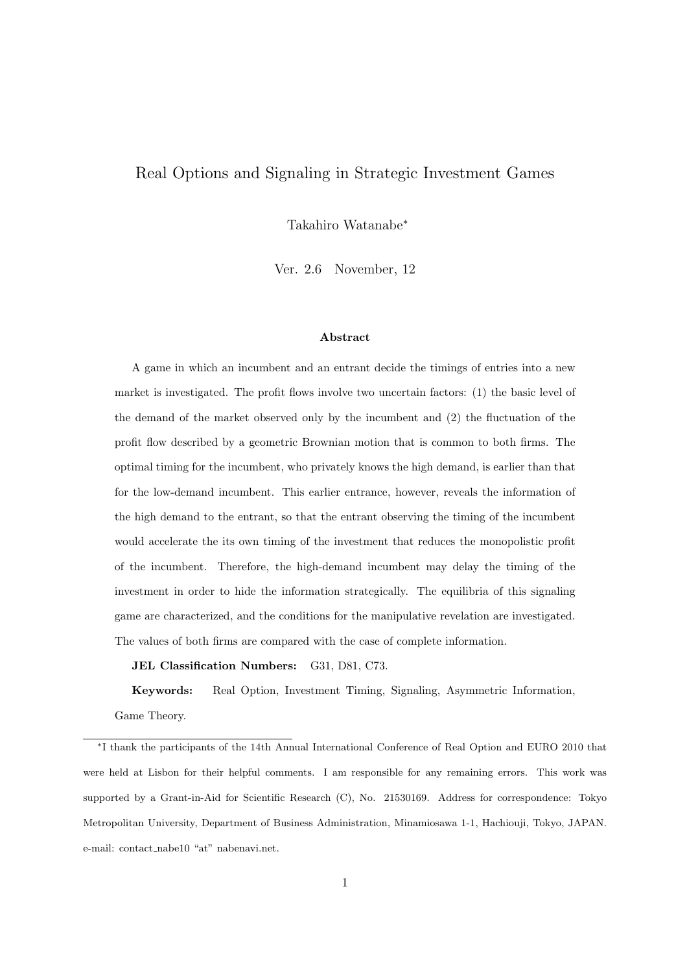# Real Options and Signaling in Strategic Investment Games

Takahiro Watanabe*<sup>∗</sup>*

Ver. 2.6 November, 12

#### **Abstract**

A game in which an incumbent and an entrant decide the timings of entries into a new market is investigated. The profit flows involve two uncertain factors: (1) the basic level of the demand of the market observed only by the incumbent and (2) the fluctuation of the profit flow described by a geometric Brownian motion that is common to both firms. The optimal timing for the incumbent, who privately knows the high demand, is earlier than that for the low-demand incumbent. This earlier entrance, however, reveals the information of the high demand to the entrant, so that the entrant observing the timing of the incumbent would accelerate the its own timing of the investment that reduces the monopolistic profit of the incumbent. Therefore, the high-demand incumbent may delay the timing of the investment in order to hide the information strategically. The equilibria of this signaling game are characterized, and the conditions for the manipulative revelation are investigated. The values of both firms are compared with the case of complete information.

**JEL Classification Numbers:** G31, D81, C73.

**Keywords:** Real Option, Investment Timing, Signaling, Asymmetric Information, Game Theory.

*<sup>∗</sup>* I thank the participants of the 14th Annual International Conference of Real Option and EURO 2010 that were held at Lisbon for their helpful comments. I am responsible for any remaining errors. This work was supported by a Grant-in-Aid for Scientific Research (C), No. 21530169. Address for correspondence: Tokyo Metropolitan University, Department of Business Administration, Minamiosawa 1-1, Hachiouji, Tokyo, JAPAN. e-mail: contact nabe10 "at" nabenavi.net.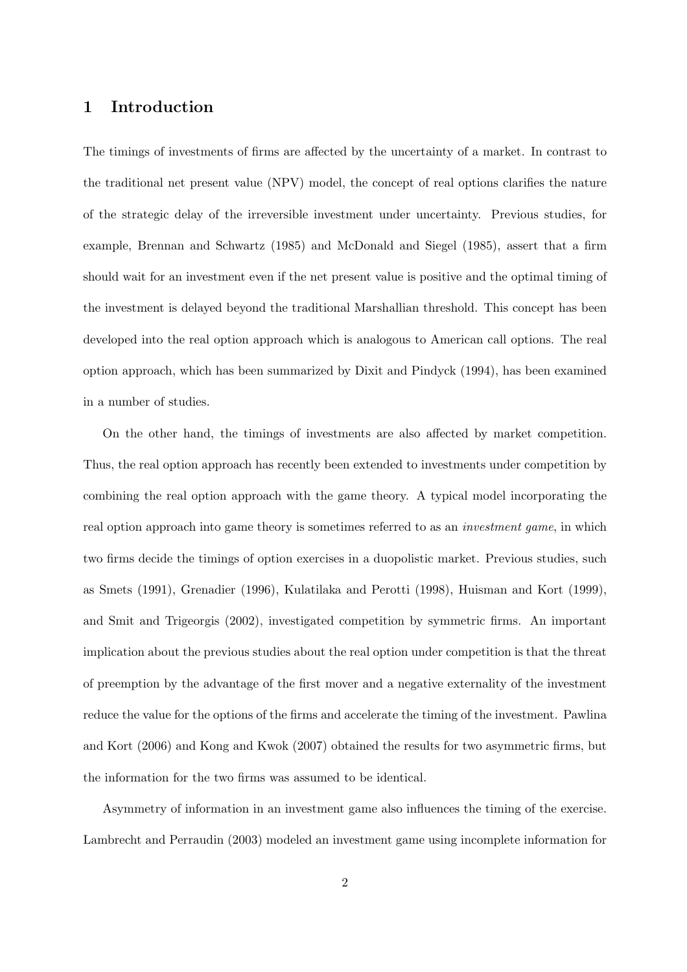# **1 Introduction**

The timings of investments of firms are affected by the uncertainty of a market. In contrast to the traditional net present value (NPV) model, the concept of real options clarifies the nature of the strategic delay of the irreversible investment under uncertainty. Previous studies, for example, Brennan and Schwartz (1985) and McDonald and Siegel (1985), assert that a firm should wait for an investment even if the net present value is positive and the optimal timing of the investment is delayed beyond the traditional Marshallian threshold. This concept has been developed into the real option approach which is analogous to American call options. The real option approach, which has been summarized by Dixit and Pindyck (1994), has been examined in a number of studies.

On the other hand, the timings of investments are also affected by market competition. Thus, the real option approach has recently been extended to investments under competition by combining the real option approach with the game theory. A typical model incorporating the real option approach into game theory is sometimes referred to as an *investment game*, in which two firms decide the timings of option exercises in a duopolistic market. Previous studies, such as Smets (1991), Grenadier (1996), Kulatilaka and Perotti (1998), Huisman and Kort (1999), and Smit and Trigeorgis (2002), investigated competition by symmetric firms. An important implication about the previous studies about the real option under competition is that the threat of preemption by the advantage of the first mover and a negative externality of the investment reduce the value for the options of the firms and accelerate the timing of the investment. Pawlina and Kort (2006) and Kong and Kwok (2007) obtained the results for two asymmetric firms, but the information for the two firms was assumed to be identical.

Asymmetry of information in an investment game also influences the timing of the exercise. Lambrecht and Perraudin (2003) modeled an investment game using incomplete information for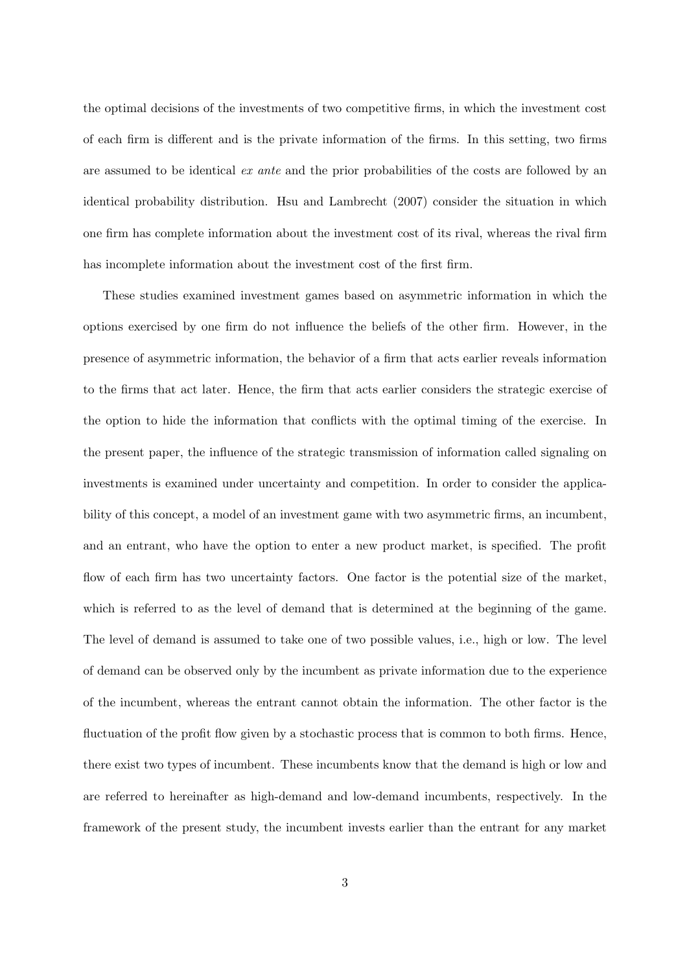the optimal decisions of the investments of two competitive firms, in which the investment cost of each firm is different and is the private information of the firms. In this setting, two firms are assumed to be identical *ex ante* and the prior probabilities of the costs are followed by an identical probability distribution. Hsu and Lambrecht (2007) consider the situation in which one firm has complete information about the investment cost of its rival, whereas the rival firm has incomplete information about the investment cost of the first firm.

These studies examined investment games based on asymmetric information in which the options exercised by one firm do not influence the beliefs of the other firm. However, in the presence of asymmetric information, the behavior of a firm that acts earlier reveals information to the firms that act later. Hence, the firm that acts earlier considers the strategic exercise of the option to hide the information that conflicts with the optimal timing of the exercise. In the present paper, the influence of the strategic transmission of information called signaling on investments is examined under uncertainty and competition. In order to consider the applicability of this concept, a model of an investment game with two asymmetric firms, an incumbent, and an entrant, who have the option to enter a new product market, is specified. The profit flow of each firm has two uncertainty factors. One factor is the potential size of the market, which is referred to as the level of demand that is determined at the beginning of the game. The level of demand is assumed to take one of two possible values, i.e., high or low. The level of demand can be observed only by the incumbent as private information due to the experience of the incumbent, whereas the entrant cannot obtain the information. The other factor is the fluctuation of the profit flow given by a stochastic process that is common to both firms. Hence, there exist two types of incumbent. These incumbents know that the demand is high or low and are referred to hereinafter as high-demand and low-demand incumbents, respectively. In the framework of the present study, the incumbent invests earlier than the entrant for any market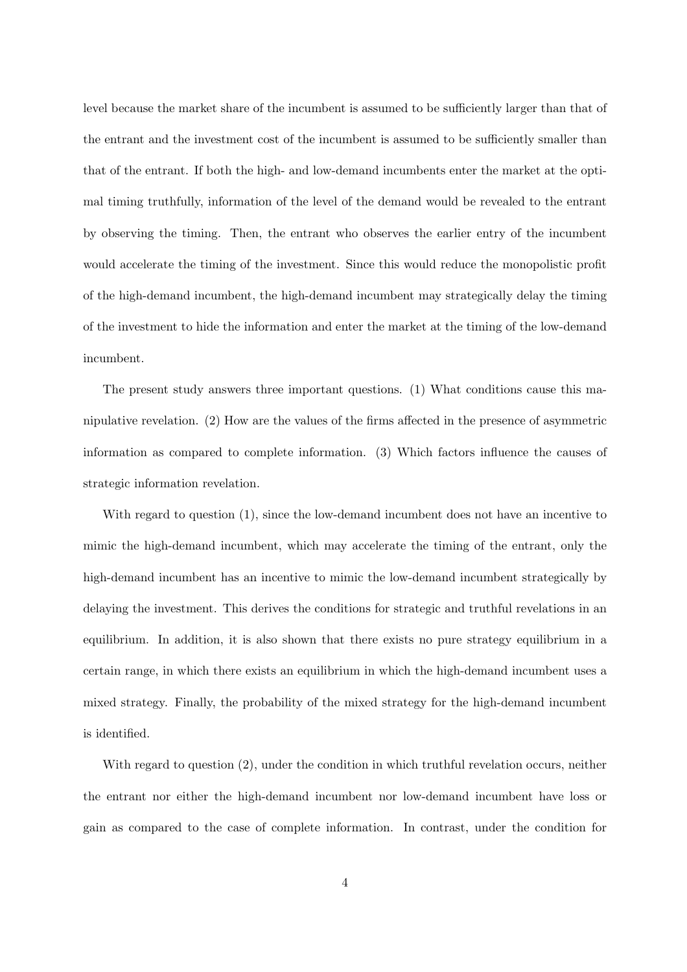level because the market share of the incumbent is assumed to be sufficiently larger than that of the entrant and the investment cost of the incumbent is assumed to be sufficiently smaller than that of the entrant. If both the high- and low-demand incumbents enter the market at the optimal timing truthfully, information of the level of the demand would be revealed to the entrant by observing the timing. Then, the entrant who observes the earlier entry of the incumbent would accelerate the timing of the investment. Since this would reduce the monopolistic profit of the high-demand incumbent, the high-demand incumbent may strategically delay the timing of the investment to hide the information and enter the market at the timing of the low-demand incumbent.

The present study answers three important questions. (1) What conditions cause this manipulative revelation. (2) How are the values of the firms affected in the presence of asymmetric information as compared to complete information. (3) Which factors influence the causes of strategic information revelation.

With regard to question (1), since the low-demand incumbent does not have an incentive to mimic the high-demand incumbent, which may accelerate the timing of the entrant, only the high-demand incumbent has an incentive to mimic the low-demand incumbent strategically by delaying the investment. This derives the conditions for strategic and truthful revelations in an equilibrium. In addition, it is also shown that there exists no pure strategy equilibrium in a certain range, in which there exists an equilibrium in which the high-demand incumbent uses a mixed strategy. Finally, the probability of the mixed strategy for the high-demand incumbent is identified.

With regard to question (2), under the condition in which truthful revelation occurs, neither the entrant nor either the high-demand incumbent nor low-demand incumbent have loss or gain as compared to the case of complete information. In contrast, under the condition for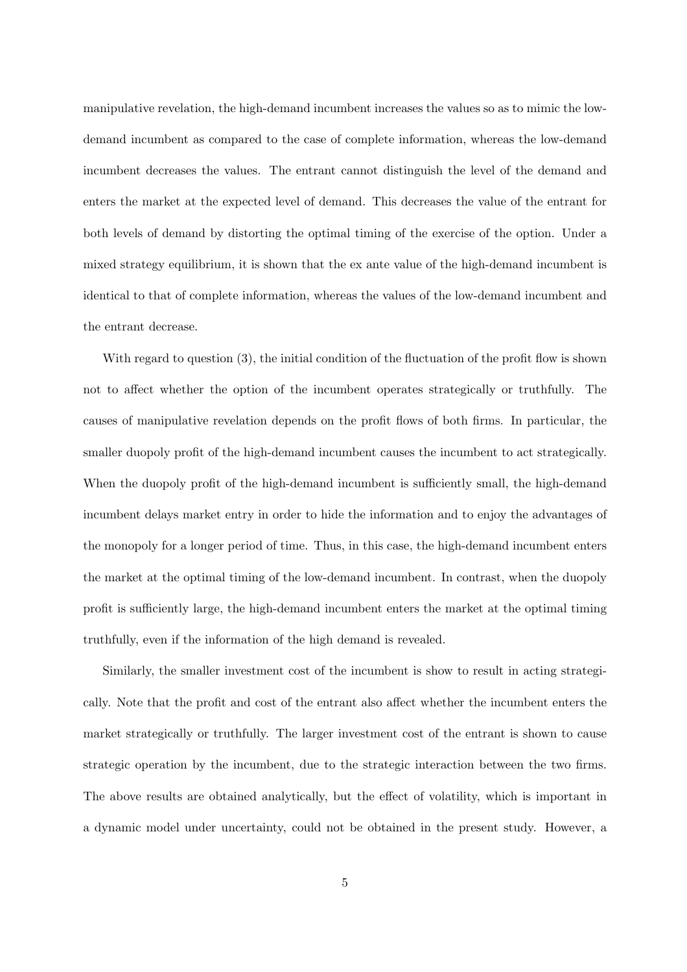manipulative revelation, the high-demand incumbent increases the values so as to mimic the lowdemand incumbent as compared to the case of complete information, whereas the low-demand incumbent decreases the values. The entrant cannot distinguish the level of the demand and enters the market at the expected level of demand. This decreases the value of the entrant for both levels of demand by distorting the optimal timing of the exercise of the option. Under a mixed strategy equilibrium, it is shown that the ex ante value of the high-demand incumbent is identical to that of complete information, whereas the values of the low-demand incumbent and the entrant decrease.

With regard to question (3), the initial condition of the fluctuation of the profit flow is shown not to affect whether the option of the incumbent operates strategically or truthfully. The causes of manipulative revelation depends on the profit flows of both firms. In particular, the smaller duopoly profit of the high-demand incumbent causes the incumbent to act strategically. When the duopoly profit of the high-demand incumbent is sufficiently small, the high-demand incumbent delays market entry in order to hide the information and to enjoy the advantages of the monopoly for a longer period of time. Thus, in this case, the high-demand incumbent enters the market at the optimal timing of the low-demand incumbent. In contrast, when the duopoly profit is sufficiently large, the high-demand incumbent enters the market at the optimal timing truthfully, even if the information of the high demand is revealed.

Similarly, the smaller investment cost of the incumbent is show to result in acting strategically. Note that the profit and cost of the entrant also affect whether the incumbent enters the market strategically or truthfully. The larger investment cost of the entrant is shown to cause strategic operation by the incumbent, due to the strategic interaction between the two firms. The above results are obtained analytically, but the effect of volatility, which is important in a dynamic model under uncertainty, could not be obtained in the present study. However, a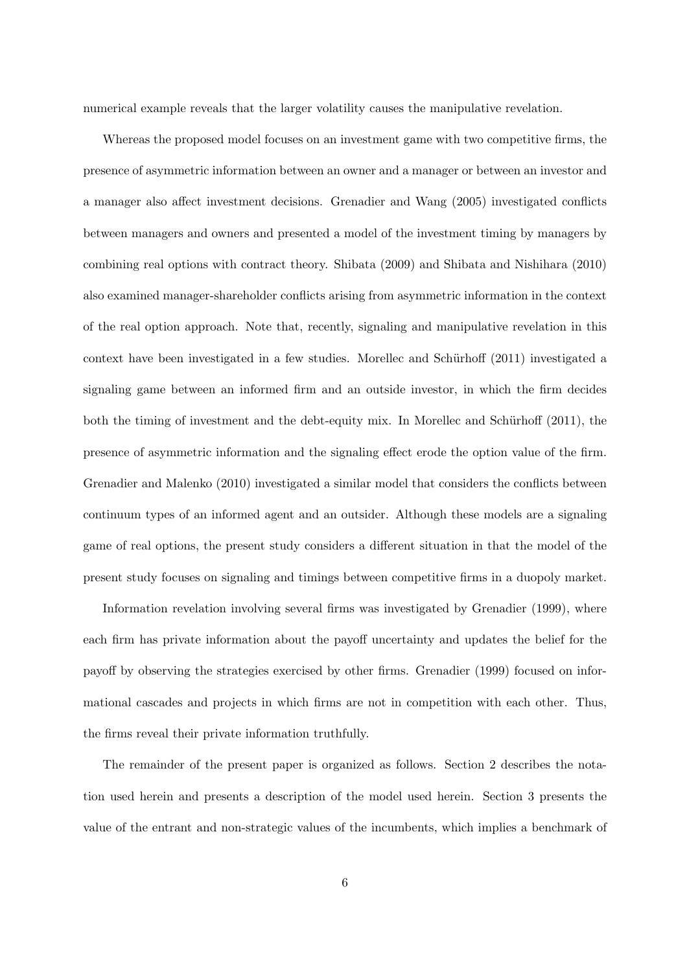numerical example reveals that the larger volatility causes the manipulative revelation.

Whereas the proposed model focuses on an investment game with two competitive firms, the presence of asymmetric information between an owner and a manager or between an investor and a manager also affect investment decisions. Grenadier and Wang (2005) investigated conflicts between managers and owners and presented a model of the investment timing by managers by combining real options with contract theory. Shibata (2009) and Shibata and Nishihara (2010) also examined manager-shareholder conflicts arising from asymmetric information in the context of the real option approach. Note that, recently, signaling and manipulative revelation in this context have been investigated in a few studies. Morellec and Schürhoff (2011) investigated a signaling game between an informed firm and an outside investor, in which the firm decides both the timing of investment and the debt-equity mix. In Morellec and Schürhoff  $(2011)$ , the presence of asymmetric information and the signaling effect erode the option value of the firm. Grenadier and Malenko (2010) investigated a similar model that considers the conflicts between continuum types of an informed agent and an outsider. Although these models are a signaling game of real options, the present study considers a different situation in that the model of the present study focuses on signaling and timings between competitive firms in a duopoly market.

Information revelation involving several firms was investigated by Grenadier (1999), where each firm has private information about the payoff uncertainty and updates the belief for the payoff by observing the strategies exercised by other firms. Grenadier (1999) focused on informational cascades and projects in which firms are not in competition with each other. Thus, the firms reveal their private information truthfully.

The remainder of the present paper is organized as follows. Section 2 describes the notation used herein and presents a description of the model used herein. Section 3 presents the value of the entrant and non-strategic values of the incumbents, which implies a benchmark of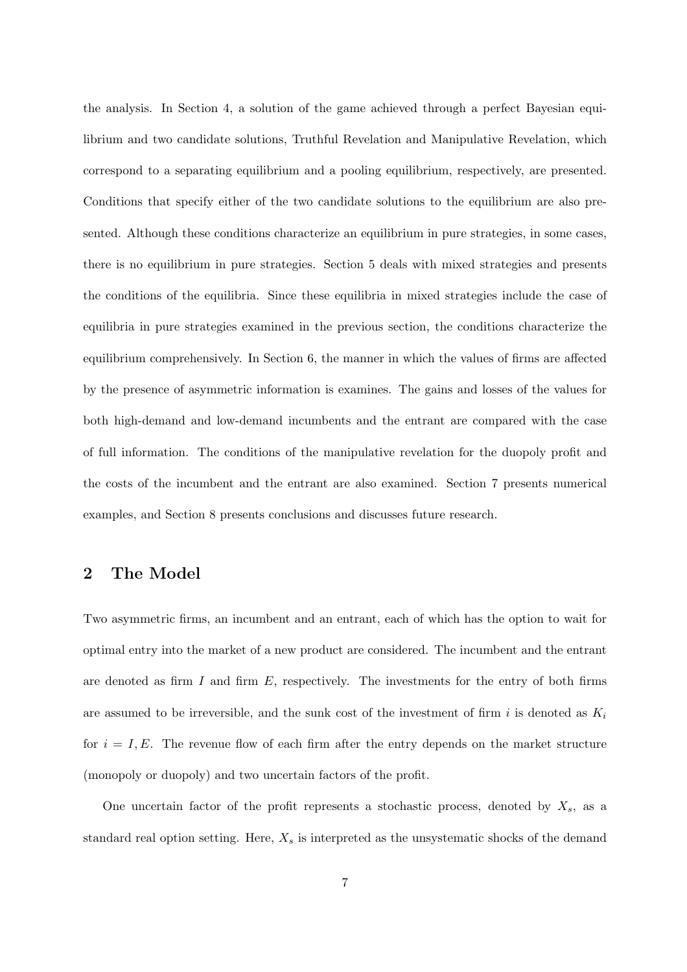the analysis. In Section 4, a solution of the game achieved through a perfect Bayesian equilibrium and two candidate solutions, Truthful Revelation and Manipulative Revelation, which correspond to a separating equilibrium and a pooling equilibrium, respectively, are presented. Conditions that specify either of the two candidate solutions to the equilibrium are also presented. Although these conditions characterize an equilibrium in pure strategies, in some cases, there is no equilibrium in pure strategies. Section 5 deals with mixed strategies and presents the conditions of the equilibria. Since these equilibria in mixed strategies include the case of equilibria in pure strategies examined in the previous section, the conditions characterize the equilibrium comprehensively. In Section 6, the manner in which the values of firms are affected by the presence of asymmetric information is examines. The gains and losses of the values for both high-demand and low-demand incumbents and the entrant are compared with the case of full information. The conditions of the manipulative revelation for the duopoly profit and the costs of the incumbent and the entrant are also examined. Section 7 presents numerical examples, and Section 8 presents conclusions and discusses future research.

## **2 The Model**

Two asymmetric firms, an incumbent and an entrant, each of which has the option to wait for optimal entry into the market of a new product are considered. The incumbent and the entrant are denoted as firm *I* and firm *E*, respectively. The investments for the entry of both firms are assumed to be irreversible, and the sunk cost of the investment of firm *i* is denoted as *K<sup>i</sup>* for  $i = I, E$ . The revenue flow of each firm after the entry depends on the market structure (monopoly or duopoly) and two uncertain factors of the profit.

One uncertain factor of the profit represents a stochastic process, denoted by *Xs*, as a standard real option setting. Here, *X<sup>s</sup>* is interpreted as the unsystematic shocks of the demand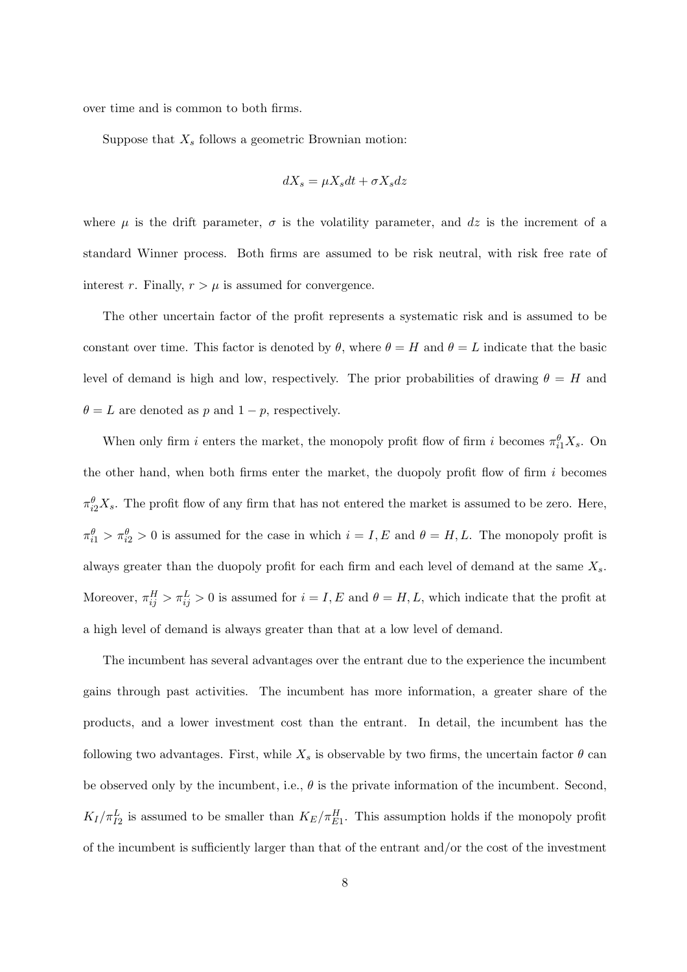over time and is common to both firms.

Suppose that *X<sup>s</sup>* follows a geometric Brownian motion:

$$
dX_s = \mu X_s dt + \sigma X_s dz
$$

where  $\mu$  is the drift parameter,  $\sigma$  is the volatility parameter, and dz is the increment of a standard Winner process. Both firms are assumed to be risk neutral, with risk free rate of interest *r*. Finally,  $r > \mu$  is assumed for convergence.

The other uncertain factor of the profit represents a systematic risk and is assumed to be constant over time. This factor is denoted by  $\theta$ , where  $\theta = H$  and  $\theta = L$  indicate that the basic level of demand is high and low, respectively. The prior probabilities of drawing  $\theta = H$  and  $\theta = L$  are denoted as *p* and  $1 - p$ , respectively.

When only firm *i* enters the market, the monopoly profit flow of firm *i* becomes  $\pi_{i1}^{\theta} X_s$ . On the other hand, when both firms enter the market, the duopoly profit flow of firm *i* becomes  $\pi_{i2}^{\theta}X_s$ . The profit flow of any firm that has not entered the market is assumed to be zero. Here,  $m_{i1}^{\theta} > m_{i2}^{\theta} > 0$  is assumed for the case in which  $i = I, E$  and  $\theta = H, L$ . The monopoly profit is always greater than the duopoly profit for each firm and each level of demand at the same *Xs*. Moreover,  $\pi_{ij}^H > \pi_{ij}^L > 0$  is assumed for  $i = I, E$  and  $\theta = H, L$ , which indicate that the profit at a high level of demand is always greater than that at a low level of demand.

The incumbent has several advantages over the entrant due to the experience the incumbent gains through past activities. The incumbent has more information, a greater share of the products, and a lower investment cost than the entrant. In detail, the incumbent has the following two advantages. First, while  $X_s$  is observable by two firms, the uncertain factor  $\theta$  can be observed only by the incumbent, i.e.,  $\theta$  is the private information of the incumbent. Second,  $K_I/\pi_{I2}^L$  is assumed to be smaller than  $K_E/\pi_{E1}^H$ . This assumption holds if the monopoly profit of the incumbent is sufficiently larger than that of the entrant and/or the cost of the investment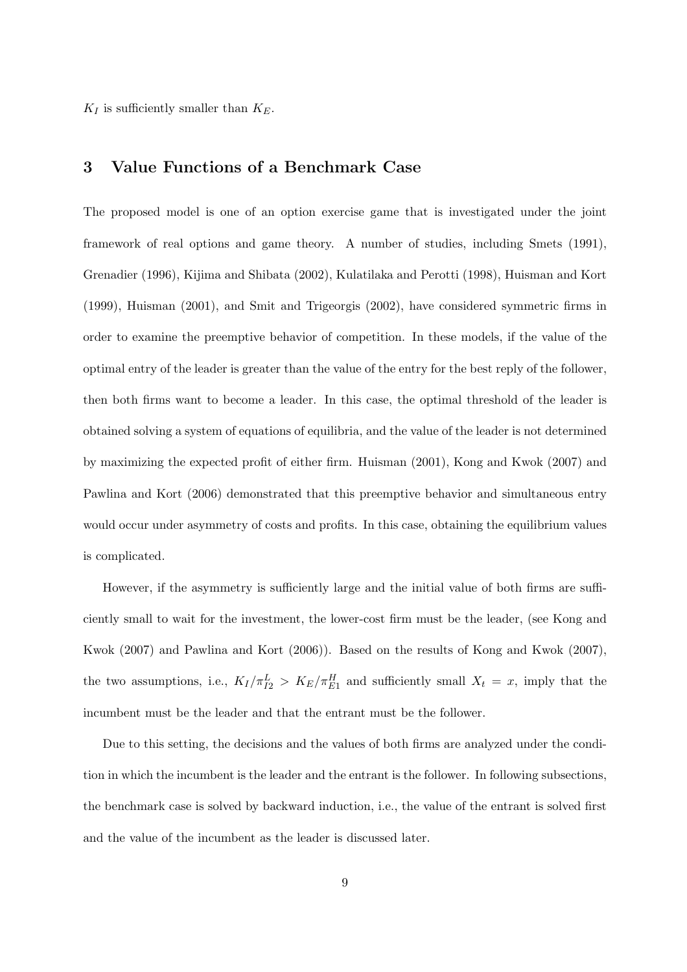$K_I$  is sufficiently smaller than  $K_E$ .

### **3 Value Functions of a Benchmark Case**

The proposed model is one of an option exercise game that is investigated under the joint framework of real options and game theory. A number of studies, including Smets (1991), Grenadier (1996), Kijima and Shibata (2002), Kulatilaka and Perotti (1998), Huisman and Kort (1999), Huisman (2001), and Smit and Trigeorgis (2002), have considered symmetric firms in order to examine the preemptive behavior of competition. In these models, if the value of the optimal entry of the leader is greater than the value of the entry for the best reply of the follower, then both firms want to become a leader. In this case, the optimal threshold of the leader is obtained solving a system of equations of equilibria, and the value of the leader is not determined by maximizing the expected profit of either firm. Huisman (2001), Kong and Kwok (2007) and Pawlina and Kort (2006) demonstrated that this preemptive behavior and simultaneous entry would occur under asymmetry of costs and profits. In this case, obtaining the equilibrium values is complicated.

However, if the asymmetry is sufficiently large and the initial value of both firms are sufficiently small to wait for the investment, the lower-cost firm must be the leader, (see Kong and Kwok (2007) and Pawlina and Kort (2006)). Based on the results of Kong and Kwok (2007), the two assumptions, i.e.,  $K_I/\pi_{I2}^L > K_E/\pi_{E1}^H$  and sufficiently small  $X_t = x$ , imply that the incumbent must be the leader and that the entrant must be the follower.

Due to this setting, the decisions and the values of both firms are analyzed under the condition in which the incumbent is the leader and the entrant is the follower. In following subsections, the benchmark case is solved by backward induction, i.e., the value of the entrant is solved first and the value of the incumbent as the leader is discussed later.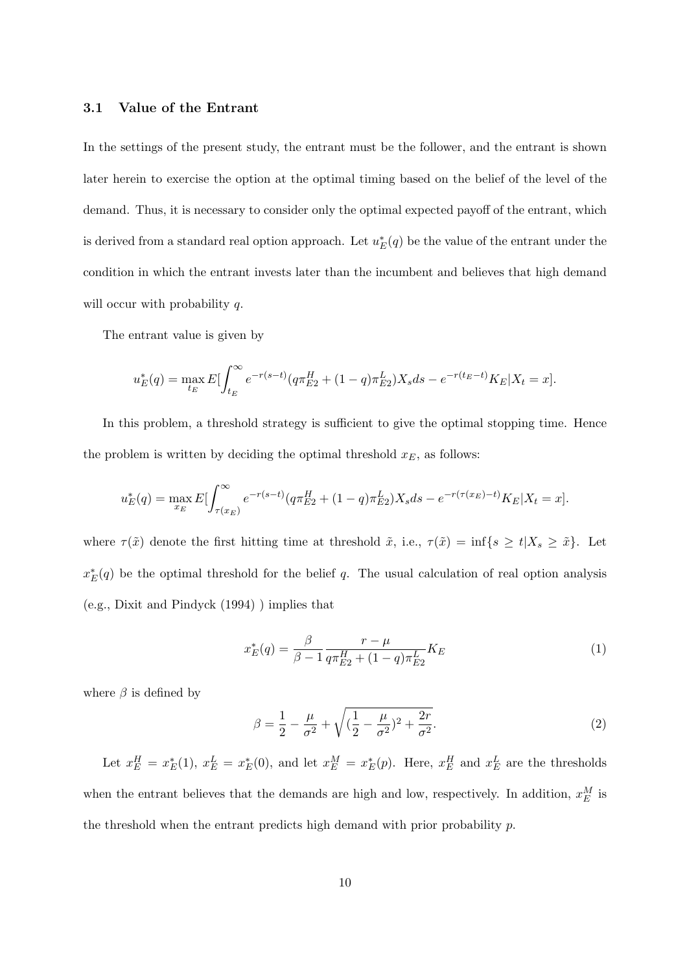#### **3.1 Value of the Entrant**

In the settings of the present study, the entrant must be the follower, and the entrant is shown later herein to exercise the option at the optimal timing based on the belief of the level of the demand. Thus, it is necessary to consider only the optimal expected payoff of the entrant, which is derived from a standard real option approach. Let  $u_E^*(q)$  be the value of the entrant under the condition in which the entrant invests later than the incumbent and believes that high demand will occur with probability *q*.

The entrant value is given by

$$
u_E^*(q) = \max_{t_E} E\left[\int_{t_E}^{\infty} e^{-r(s-t)} (q\pi_{E2}^H + (1-q)\pi_{E2}^L)X_s ds - e^{-r(t_E - t)} K_E | X_t = x\right].
$$

In this problem, a threshold strategy is sufficient to give the optimal stopping time. Hence the problem is written by deciding the optimal threshold  $x<sub>E</sub>$ , as follows:

$$
u_E^*(q) = \max_{x_E} E[\int_{\tau(x_E)}^{\infty} e^{-r(s-t)} (q\pi_{E2}^H + (1-q)\pi_{E2}^L) X_s ds - e^{-r(\tau(x_E) - t)} K_E | X_t = x].
$$

where  $\tau(\tilde{x})$  denote the first hitting time at threshold  $\tilde{x}$ , i.e.,  $\tau(\tilde{x}) = \inf\{s \ge t | X_s \ge \tilde{x}\}$ . Let  $x_E^*(q)$  be the optimal threshold for the belief *q*. The usual calculation of real option analysis (e.g., Dixit and Pindyck (1994) ) implies that

$$
x_E^*(q) = \frac{\beta}{\beta - 1} \frac{r - \mu}{q \pi_{E2}^H + (1 - q) \pi_{E2}^L} K_E
$$
\n(1)

where  $\beta$  is defined by

$$
\beta = \frac{1}{2} - \frac{\mu}{\sigma^2} + \sqrt{(\frac{1}{2} - \frac{\mu}{\sigma^2})^2 + \frac{2r}{\sigma^2}}.
$$
\n(2)

Let  $x_E^H = x_E^*(1)$ ,  $x_E^L = x_E^*(0)$ , and let  $x_E^M = x_E^*(p)$ . Here,  $x_E^H$  and  $x_E^L$  are the thresholds when the entrant believes that the demands are high and low, respectively. In addition,  $x_E^M$  is the threshold when the entrant predicts high demand with prior probability *p*.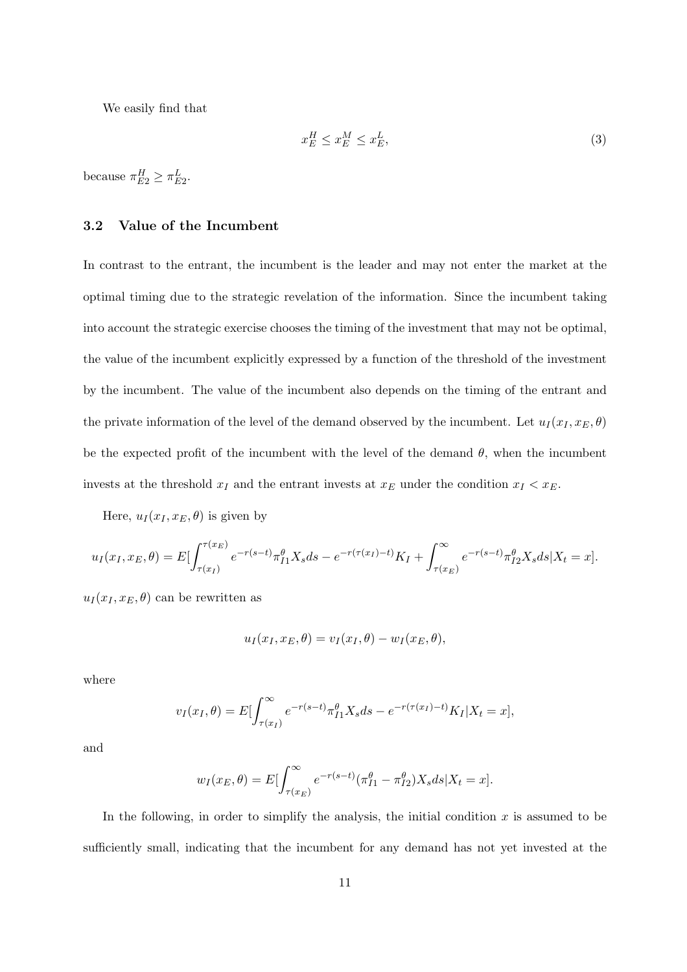We easily find that

$$
x_E^H \le x_E^M \le x_E^L,\tag{3}
$$

because  $\pi_{E2}^H \geq \pi_{E2}^L$ .

### **3.2 Value of the Incumbent**

In contrast to the entrant, the incumbent is the leader and may not enter the market at the optimal timing due to the strategic revelation of the information. Since the incumbent taking into account the strategic exercise chooses the timing of the investment that may not be optimal, the value of the incumbent explicitly expressed by a function of the threshold of the investment by the incumbent. The value of the incumbent also depends on the timing of the entrant and the private information of the level of the demand observed by the incumbent. Let  $u_I(x_I, x_E, \theta)$ be the expected profit of the incumbent with the level of the demand  $\theta$ , when the incumbent invests at the threshold  $x_I$  and the entrant invests at  $x_E$  under the condition  $x_I < x_E$ .

Here,  $u_I(x_I, x_E, \theta)$  is given by

$$
u_I(x_I, x_E, \theta) = E \left[ \int_{\tau(x_I)}^{\tau(x_E)} e^{-r(s-t)} \pi_{I1}^{\theta} X_s ds - e^{-r(\tau(x_I) - t)} K_I + \int_{\tau(x_E)}^{\infty} e^{-r(s-t)} \pi_{I2}^{\theta} X_s ds \right] X_t = x \right].
$$

 $u_I(x_I, x_E, \theta)$  can be rewritten as

$$
u_I(x_I, x_E, \theta) = v_I(x_I, \theta) - w_I(x_E, \theta),
$$

where

$$
v_I(x_I, \theta) = E \left[ \int_{\tau(x_I)}^{\infty} e^{-r(s-t)} \pi_{I1}^{\theta} X_s ds - e^{-r(\tau(x_I) - t)} K_I | X_t = x \right],
$$

and

$$
w_I(x_E, \theta) = E \left[ \int_{\tau(x_E)}^{\infty} e^{-r(s-t)} (\pi_{I1}^{\theta} - \pi_{I2}^{\theta}) X_s ds | X_t = x \right].
$$

In the following, in order to simplify the analysis, the initial condition *x* is assumed to be sufficiently small, indicating that the incumbent for any demand has not yet invested at the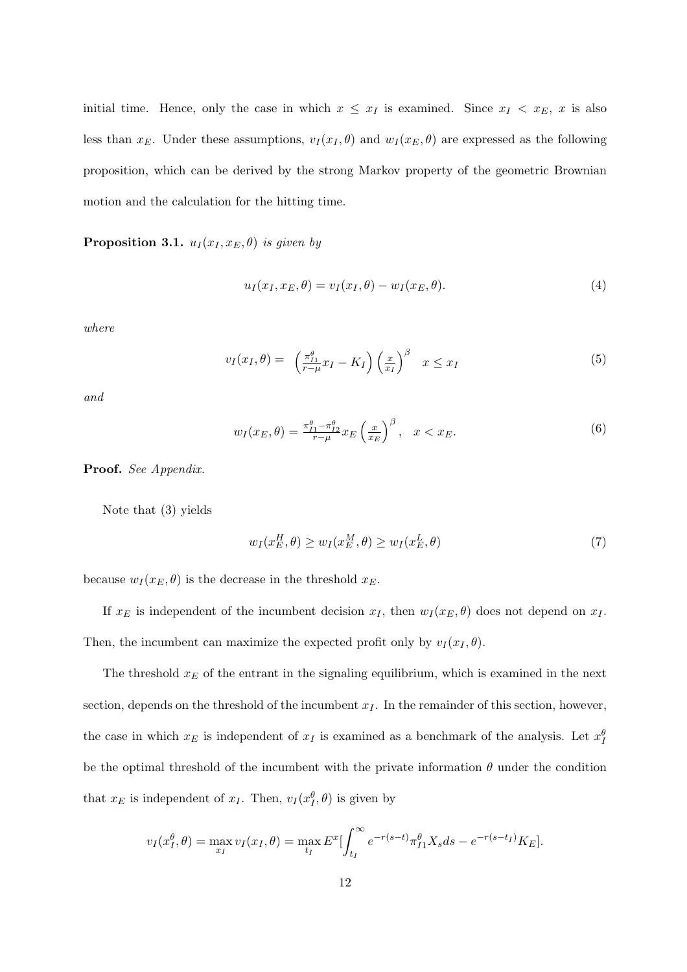initial time. Hence, only the case in which  $x \leq x_I$  is examined. Since  $x_I < x_E$ , *x* is also less than  $x_E$ . Under these assumptions,  $v_I(x_I, \theta)$  and  $w_I(x_E, \theta)$  are expressed as the following proposition, which can be derived by the strong Markov property of the geometric Brownian motion and the calculation for the hitting time.

**Proposition 3.1.**  $u_I(x_I, x_E, \theta)$  *is given by* 

$$
u_I(x_I, x_E, \theta) = v_I(x_I, \theta) - w_I(x_E, \theta). \tag{4}
$$

*where*

$$
v_I(x_I, \theta) = \left(\frac{\pi_{I1}^{\theta}}{r - \mu} x_I - K_I\right) \left(\frac{x}{x_I}\right)^{\beta} \quad x \le x_I
$$
\n<sup>(5)</sup>

*and*

$$
w_I(x_E, \theta) = \frac{\pi_{I1}^{\theta} - \pi_{I2}^{\theta}}{r - \mu} x_E \left(\frac{x}{x_E}\right)^{\beta}, \quad x < x_E. \tag{6}
$$

**Proof.** *See Appendix.*

Note that (3) yields

$$
w_I(x_E^H, \theta) \ge w_I(x_E^M, \theta) \ge w_I(x_E^L, \theta)
$$
\n<sup>(7)</sup>

because  $w_I(x_E, \theta)$  is the decrease in the threshold  $x_E$ .

If  $x_E$  is independent of the incumbent decision  $x_I$ , then  $w_I(x_E, \theta)$  does not depend on  $x_I$ . Then, the incumbent can maximize the expected profit only by  $v_I(x_I, \theta)$ .

The threshold *x<sup>E</sup>* of the entrant in the signaling equilibrium, which is examined in the next section, depends on the threshold of the incumbent  $x_I$ . In the remainder of this section, however, the case in which  $x_E$  is independent of  $x_I$  is examined as a benchmark of the analysis. Let  $x_I^{\theta}$ be the optimal threshold of the incumbent with the private information  $\theta$  under the condition that  $x_E$  is independent of  $x_I$ . Then,  $v_I(x_I^{\theta}, \theta)$  is given by

$$
v_I(x_I^{\theta}, \theta) = \max_{x_I} v_I(x_I, \theta) = \max_{t_I} E^x \left[ \int_{t_I}^{\infty} e^{-r(s-t)} \pi_{I1}^{\theta} X_s ds - e^{-r(s-t_I)} K_E \right].
$$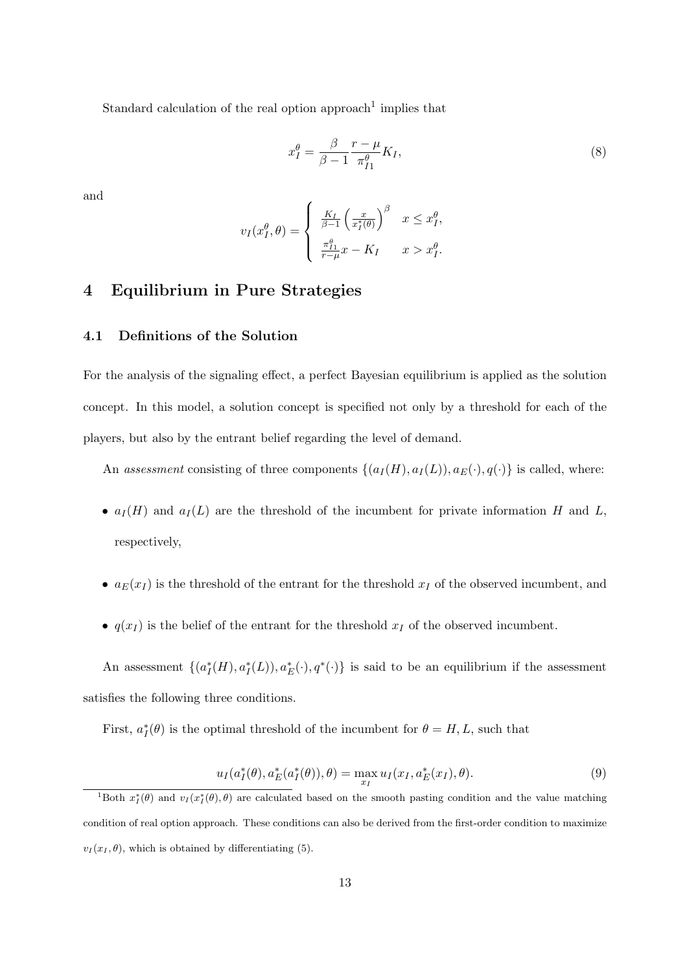Standard calculation of the real option approach<sup>1</sup> implies that

$$
x_I^{\theta} = \frac{\beta}{\beta - 1} \frac{r - \mu}{\pi_{I1}^{\theta}} K_I,
$$
\n(8)

and

$$
v_I(x_I^{\theta}, \theta) = \begin{cases} \frac{K_I}{\beta - 1} \left( \frac{x}{x_I^*(\theta)} \right)^{\beta} & x \leq x_I^{\theta}, \\ \frac{\pi_{I_1}^{\theta}}{r - \mu} x - K_I & x > x_I^{\theta}. \end{cases}
$$

## **4 Equilibrium in Pure Strategies**

### **4.1 Definitions of the Solution**

For the analysis of the signaling effect, a perfect Bayesian equilibrium is applied as the solution concept. In this model, a solution concept is specified not only by a threshold for each of the players, but also by the entrant belief regarding the level of demand.

An *assessment* consisting of three components  $\{(a_I(H), a_I(L)), a_E(\cdot), q(\cdot)\}\)$  is called, where:

- $a_I(H)$  and  $a_I(L)$  are the threshold of the incumbent for private information *H* and *L*, respectively,
- $a_E(x_I)$  is the threshold of the entrant for the threshold  $x_I$  of the observed incumbent, and
- $q(x_I)$  is the belief of the entrant for the threshold  $x_I$  of the observed incumbent.

An assessment  $\{(a_I^*(H), a_I^*(L)), a_E^*(\cdot), q^*(\cdot)\}\$ is said to be an equilibrium if the assessment satisfies the following three conditions.

First,  $a_I^*(\theta)$  is the optimal threshold of the incumbent for  $\theta = H, L$ , such that

$$
u_I(a_I^*(\theta), a_E^*(a_I^*(\theta)), \theta) = \max_{x_I} u_I(x_I, a_E^*(x_I), \theta).
$$
 (9)

<sup>&</sup>lt;sup>1</sup>Both  $x_I^*(\theta)$  and  $v_I(x_I^*(\theta),\theta)$  are calculated based on the smooth pasting condition and the value matching condition of real option approach. These conditions can also be derived from the first-order condition to maximize  $v_I(x_I, \theta)$ , which is obtained by differentiating (5).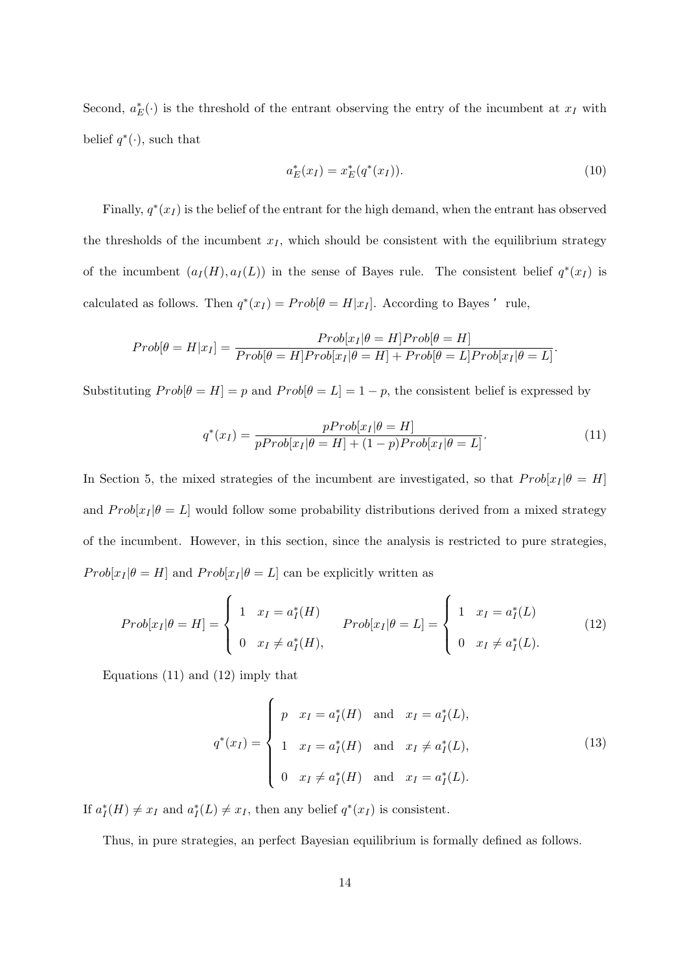Second,  $a_E^*(\cdot)$  is the threshold of the entrant observing the entry of the incumbent at  $x_I$  with belief  $q^*(\cdot)$ , such that

$$
a_E^*(x_I) = x_E^*(q^*(x_I)).
$$
\n(10)

*.*

Finally,  $q^*(x_I)$  is the belief of the entrant for the high demand, when the entrant has observed the thresholds of the incumbent  $x_I$ , which should be consistent with the equilibrium strategy of the incumbent  $(a_I(H), a_I(L))$  in the sense of Bayes rule. The consistent belief  $q^*(x_I)$  is calculated as follows. Then  $q^*(x_I) = Prob[\theta = H|x_I]$ . According to Bayes 'rule,

$$
Prob[\theta = H | x_I] = \frac{Prob[x_I | \theta = H] Prob[\theta = H]}{Prob[\theta = H] Prob[x_I | \theta = H] + Prob[\theta = L] Prob[x_I | \theta = L]}
$$

Substituting  $Prob[\theta = H] = p$  and  $Prob[\theta = L] = 1 - p$ , the consistent belief is expressed by

$$
q^*(x_I) = \frac{pProb[x_I|\theta = H]}{pProb[x_I|\theta = H] + (1-p)Prob[x_I|\theta = L]}.
$$
\n(11)

In Section 5, the mixed strategies of the incumbent are investigated, so that  $Prob[x|\theta = H]$ and  $Prob[x_I|\theta=L]$  would follow some probability distributions derived from a mixed strategy of the incumbent. However, in this section, since the analysis is restricted to pure strategies, *Prob*[ $x_I | \theta = H$ ] and  $Prob[x_I | \theta = L]$  can be explicitly written as

$$
Prob[x_I|\theta = H] = \begin{cases} 1 & x_I = a_I^*(H) \\ 0 & x_I \neq a_I^*(H), \end{cases} Prob[x_I|\theta = L] = \begin{cases} 1 & x_I = a_I^*(L) \\ 0 & x_I \neq a_I^*(L). \end{cases}
$$
(12)

Equations (11) and (12) imply that

$$
q^*(x_I) = \begin{cases} p & x_I = a_I^*(H) \text{ and } x_I = a_I^*(L), \\ 1 & x_I = a_I^*(H) \text{ and } x_I \neq a_I^*(L), \\ 0 & x_I \neq a_I^*(H) \text{ and } x_I = a_I^*(L). \end{cases}
$$
(13)

If  $a_I^*(H) \neq x_I$  and  $a_I^*(L) \neq x_I$ , then any belief  $q^*(x_I)$  is consistent.

Thus, in pure strategies, an perfect Bayesian equilibrium is formally defined as follows.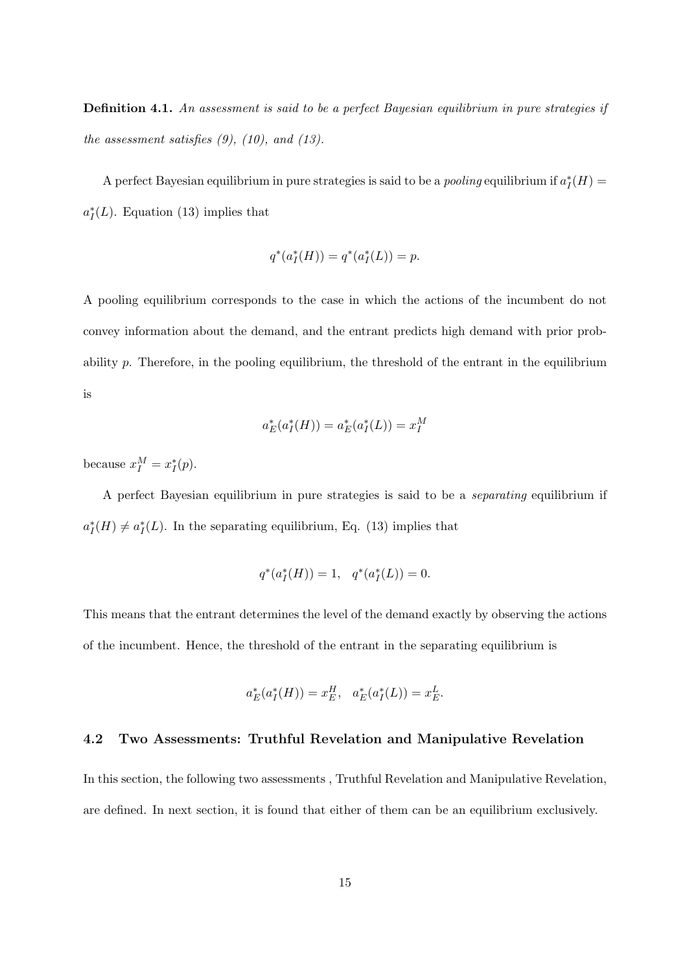**Definition 4.1.** *An assessment is said to be a perfect Bayesian equilibrium in pure strategies if the assessment satisfies (9), (10), and (13).*

A perfect Bayesian equilibrium in pure strategies is said to be a *pooling* equilibrium if  $a_I^*(H)$  =  $a_I^*(L)$ . Equation (13) implies that

$$
q^*(a_I^*(H)) = q^*(a_I^*(L)) = p.
$$

A pooling equilibrium corresponds to the case in which the actions of the incumbent do not convey information about the demand, and the entrant predicts high demand with prior probability *p*. Therefore, in the pooling equilibrium, the threshold of the entrant in the equilibrium is

$$
a_E^*(a_I^*(H)) = a_E^*(a_I^*(L)) = x_I^M
$$

because  $x_I^M = x_I^*(p)$ .

A perfect Bayesian equilibrium in pure strategies is said to be a *separating* equilibrium if  $a_I^*(H) \neq a_I^*(L)$ . In the separating equilibrium, Eq. (13) implies that

$$
q^*(a_I^*(H)) = 1, \quad q^*(a_I^*(L)) = 0.
$$

This means that the entrant determines the level of the demand exactly by observing the actions of the incumbent. Hence, the threshold of the entrant in the separating equilibrium is

$$
a_E^*(a_I^*(H)) = x_E^H, \quad a_E^*(a_I^*(L)) = x_E^L.
$$

### **4.2 Two Assessments: Truthful Revelation and Manipulative Revelation**

In this section, the following two assessments , Truthful Revelation and Manipulative Revelation, are defined. In next section, it is found that either of them can be an equilibrium exclusively.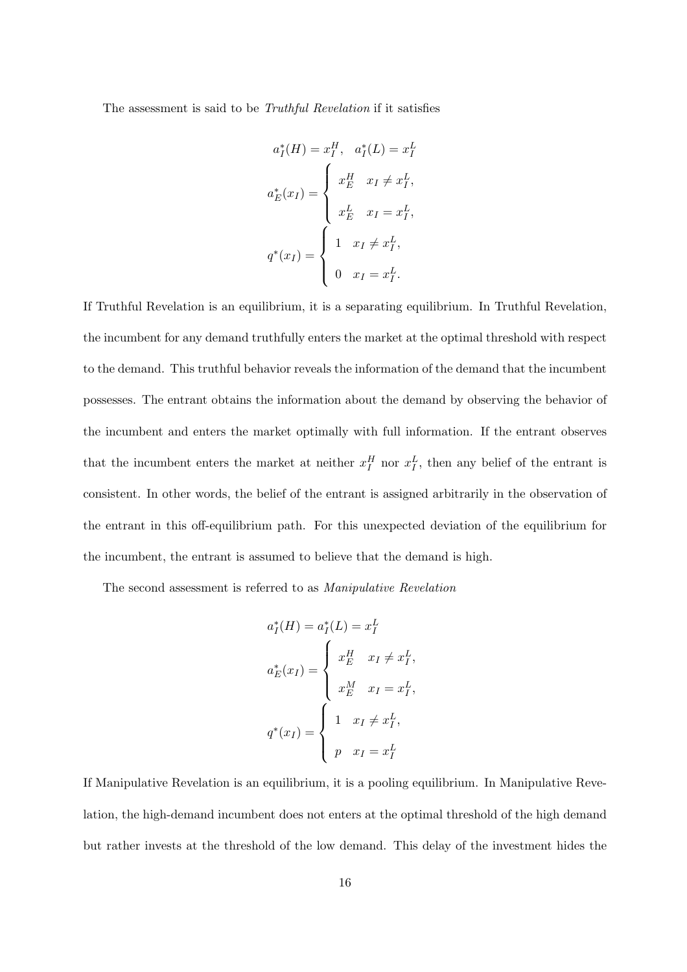The assessment is said to be *Truthful Revelation* if it satisfies

$$
a_I^*(H) = x_I^H, \quad a_I^*(L) = x_I^L
$$

$$
a_E^*(x_I) = \begin{cases} x_E^H & x_I \neq x_I^L, \\ x_E^L & x_I = x_I^L, \\ x_I \neq x_I^L, \\ 0 & x_I = x_I^L. \end{cases}
$$

If Truthful Revelation is an equilibrium, it is a separating equilibrium. In Truthful Revelation, the incumbent for any demand truthfully enters the market at the optimal threshold with respect to the demand. This truthful behavior reveals the information of the demand that the incumbent possesses. The entrant obtains the information about the demand by observing the behavior of the incumbent and enters the market optimally with full information. If the entrant observes that the incumbent enters the market at neither  $x_I^H$  nor  $x_I^L$ , then any belief of the entrant is consistent. In other words, the belief of the entrant is assigned arbitrarily in the observation of the entrant in this off-equilibrium path. For this unexpected deviation of the equilibrium for the incumbent, the entrant is assumed to believe that the demand is high.

The second assessment is referred to as *Manipulative Revelation*

$$
a_I^*(H) = a_I^*(L) = x_I^L
$$
  
\n
$$
a_E^*(x_I) = \begin{cases} x_E^H & x_I \neq x_I^L, \\ x_E^M & x_I = x_I^L, \\ 1 & x_I \neq x_I^L, \\ p & x_I = x_I^L \end{cases}
$$

If Manipulative Revelation is an equilibrium, it is a pooling equilibrium. In Manipulative Revelation, the high-demand incumbent does not enters at the optimal threshold of the high demand but rather invests at the threshold of the low demand. This delay of the investment hides the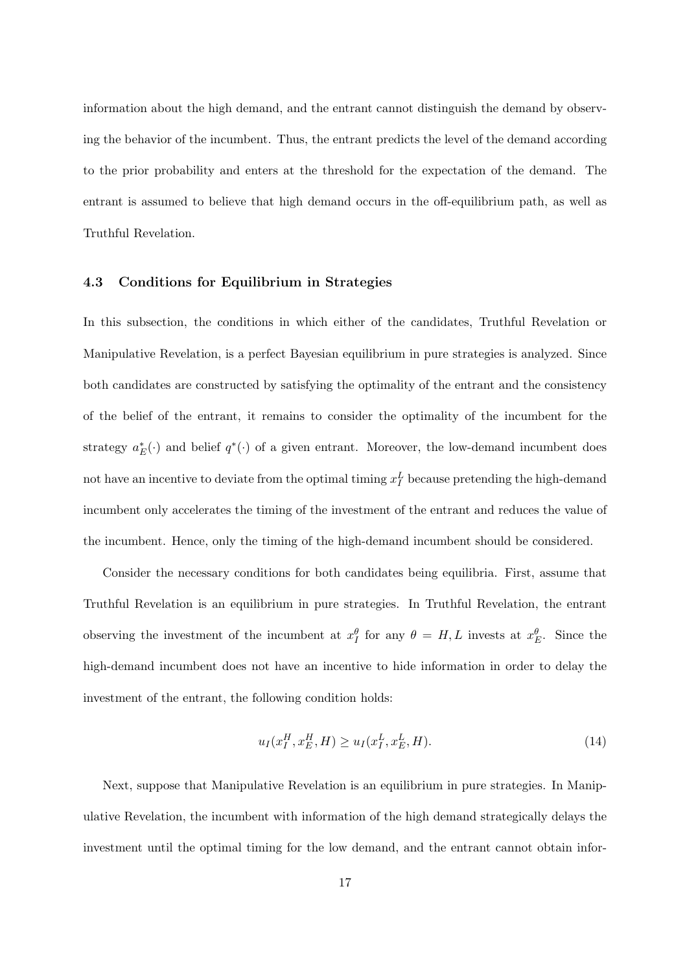information about the high demand, and the entrant cannot distinguish the demand by observing the behavior of the incumbent. Thus, the entrant predicts the level of the demand according to the prior probability and enters at the threshold for the expectation of the demand. The entrant is assumed to believe that high demand occurs in the off-equilibrium path, as well as Truthful Revelation.

#### **4.3 Conditions for Equilibrium in Strategies**

In this subsection, the conditions in which either of the candidates, Truthful Revelation or Manipulative Revelation, is a perfect Bayesian equilibrium in pure strategies is analyzed. Since both candidates are constructed by satisfying the optimality of the entrant and the consistency of the belief of the entrant, it remains to consider the optimality of the incumbent for the strategy  $a_E^*(\cdot)$  and belief  $q^*(\cdot)$  of a given entrant. Moreover, the low-demand incumbent does not have an incentive to deviate from the optimal timing  $x_I^L$  because pretending the high-demand incumbent only accelerates the timing of the investment of the entrant and reduces the value of the incumbent. Hence, only the timing of the high-demand incumbent should be considered.

Consider the necessary conditions for both candidates being equilibria. First, assume that Truthful Revelation is an equilibrium in pure strategies. In Truthful Revelation, the entrant observing the investment of the incumbent at  $x_I^{\theta}$  for any  $\theta = H, L$  invests at  $x_E^{\theta}$ . Since the high-demand incumbent does not have an incentive to hide information in order to delay the investment of the entrant, the following condition holds:

$$
u_I(x_I^H, x_E^H, H) \ge u_I(x_I^L, x_E^L, H). \tag{14}
$$

Next, suppose that Manipulative Revelation is an equilibrium in pure strategies. In Manipulative Revelation, the incumbent with information of the high demand strategically delays the investment until the optimal timing for the low demand, and the entrant cannot obtain infor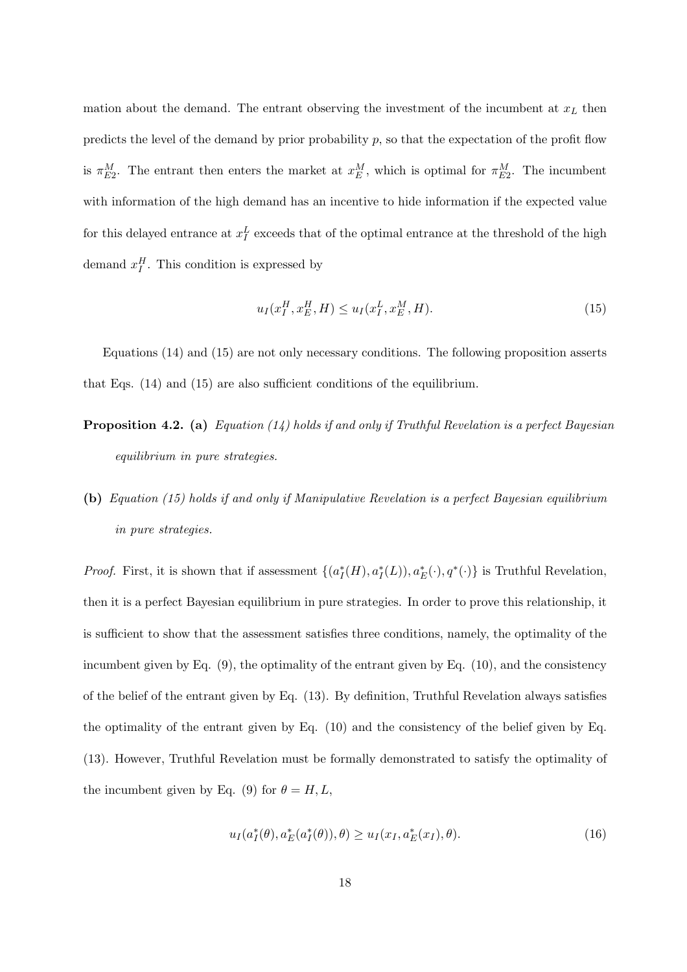mation about the demand. The entrant observing the investment of the incumbent at *x<sup>L</sup>* then predicts the level of the demand by prior probability *p*, so that the expectation of the profit flow is  $\pi_{E2}^{M}$ . The entrant then enters the market at  $x_{E}^{M}$ , which is optimal for  $\pi_{E2}^{M}$ . The incumbent with information of the high demand has an incentive to hide information if the expected value for this delayed entrance at  $x_I^L$  exceeds that of the optimal entrance at the threshold of the high demand  $x_I^H$ . This condition is expressed by

$$
u_I(x_I^H, x_E^H, H) \le u_I(x_I^L, x_E^M, H). \tag{15}
$$

Equations (14) and (15) are not only necessary conditions. The following proposition asserts that Eqs. (14) and (15) are also sufficient conditions of the equilibrium.

- **Proposition 4.2. (a)** *Equation (14) holds if and only if Truthful Revelation is a perfect Bayesian equilibrium in pure strategies.*
- **(b)** *Equation (15) holds if and only if Manipulative Revelation is a perfect Bayesian equilibrium in pure strategies.*

*Proof.* First, it is shown that if assessment  $\{(a_I^*(H), a_I^*(L)), a_E^*(\cdot), q^*(\cdot)\}\)$  is Truthful Revelation, then it is a perfect Bayesian equilibrium in pure strategies. In order to prove this relationship, it is sufficient to show that the assessment satisfies three conditions, namely, the optimality of the incumbent given by Eq.  $(9)$ , the optimality of the entrant given by Eq.  $(10)$ , and the consistency of the belief of the entrant given by Eq. (13). By definition, Truthful Revelation always satisfies the optimality of the entrant given by Eq. (10) and the consistency of the belief given by Eq. (13). However, Truthful Revelation must be formally demonstrated to satisfy the optimality of the incumbent given by Eq. (9) for  $\theta = H, L$ ,

$$
u_I(a_I^*(\theta), a_E^*(a_I^*(\theta)), \theta) \ge u_I(x_I, a_E^*(x_I), \theta).
$$
 (16)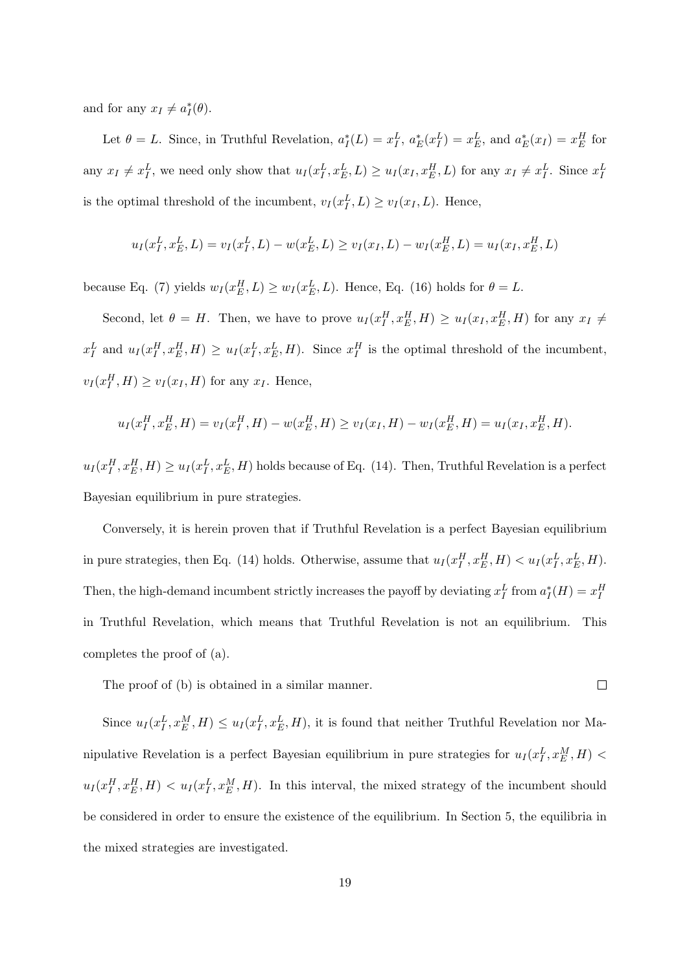and for any  $x_I \neq a_I^*(\theta)$ .

Let  $\theta = L$ . Since, in Truthful Revelation,  $a_I^*(L) = x_I^L$ ,  $a_E^*(x_I^L) = x_E^L$ , and  $a_E^*(x_I) = x_E^H$  for any  $x_I \neq x_I^L$ , we need only show that  $u_I(x_I^L, x_E^L, L) \geq u_I(x_I, x_E^H, L)$  for any  $x_I \neq x_I^L$ . Since  $x_I^L$ is the optimal threshold of the incumbent,  $v_I(x_I^L, L) \ge v_I(x_I, L)$ . Hence,

$$
u_I(x_I^L, x_E^L, L) = v_I(x_I^L, L) - w(x_E^L, L) \ge v_I(x_I, L) - w_I(x_E^H, L) = u_I(x_I, x_E^H, L)
$$

because Eq. (7) yields  $w_I(x_E^H, L) \geq w_I(x_E^L, L)$ . Hence, Eq. (16) holds for  $\theta = L$ .

Second, let  $\theta = H$ . Then, we have to prove  $u_I(x_I^H, x_E^H, H) \geq u_I(x_I, x_E^H, H)$  for any  $x_I \neq$  $x_I^L$  and  $u_I(x_I^H, x_E^H, H) \ge u_I(x_I^L, x_E^L, H)$ . Since  $x_I^H$  is the optimal threshold of the incumbent,  $v_I(x_I^H, H) \ge v_I(x_I, H)$  for any  $x_I$ . Hence,

$$
u_I(x_I^H, x_E^H, H) = v_I(x_I^H, H) - w(x_E^H, H) \ge v_I(x_I, H) - w_I(x_E^H, H) = u_I(x_I, x_E^H, H).
$$

 $u_I(x_I^H, x_E^H, H) \ge u_I(x_I^L, x_E^L, H)$  holds because of Eq. (14). Then, Truthful Revelation is a perfect Bayesian equilibrium in pure strategies.

Conversely, it is herein proven that if Truthful Revelation is a perfect Bayesian equilibrium in pure strategies, then Eq. (14) holds. Otherwise, assume that  $u_I(x_I^H, x_E^H, H) < u_I(x_I^L, x_E^L, H)$ . Then, the high-demand incumbent strictly increases the payoff by deviating  $x_I^L$  from  $a_I^*(H) = x_I^H$ in Truthful Revelation, which means that Truthful Revelation is not an equilibrium. This completes the proof of (a).

The proof of (b) is obtained in a similar manner.

 $\Box$ 

Since  $u_I(x_I^L, x_E^M, H) \leq u_I(x_I^L, x_E^L, H)$ , it is found that neither Truthful Revelation nor Manipulative Revelation is a perfect Bayesian equilibrium in pure strategies for  $u_I(x_I^L, x_E^M, H)$  <  $u_I(x_I^H, x_E^H, H) < u_I(x_I^L, x_E^M, H)$ . In this interval, the mixed strategy of the incumbent should be considered in order to ensure the existence of the equilibrium. In Section 5, the equilibria in the mixed strategies are investigated.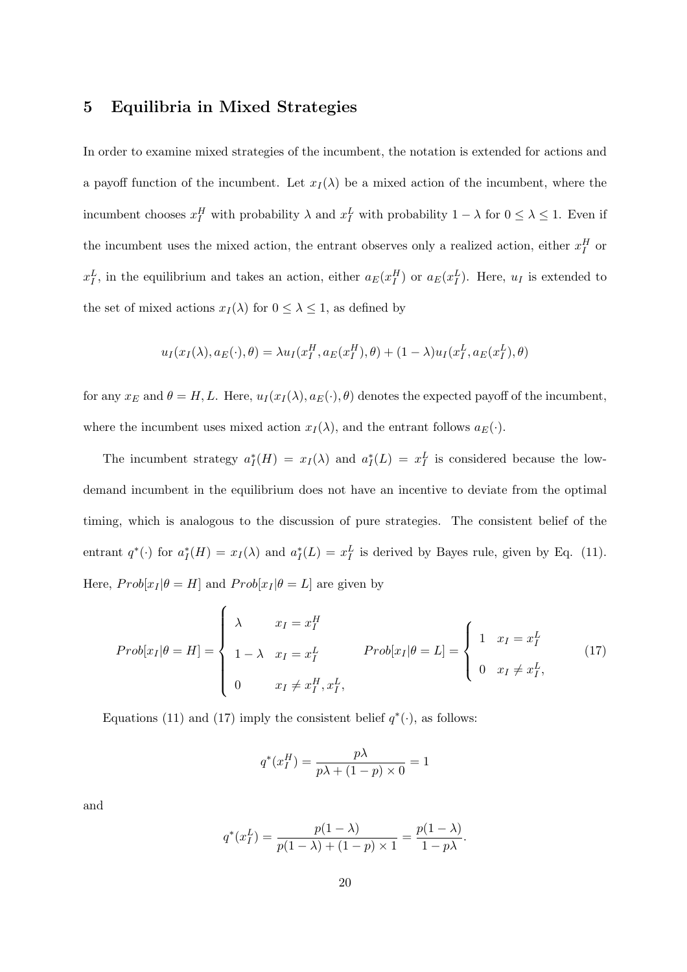## **5 Equilibria in Mixed Strategies**

In order to examine mixed strategies of the incumbent, the notation is extended for actions and a payoff function of the incumbent. Let  $x_I(\lambda)$  be a mixed action of the incumbent, where the incumbent chooses  $x_I^H$  with probability  $\lambda$  and  $x_I^L$  with probability  $1 - \lambda$  for  $0 \leq \lambda \leq 1$ . Even if the incumbent uses the mixed action, the entrant observes only a realized action, either  $x_I^H$  or  $x_I^L$ , in the equilibrium and takes an action, either  $a_E(x_I^H)$  or  $a_E(x_I^L)$ . Here,  $u_I$  is extended to the set of mixed actions  $x_I(\lambda)$  for  $0 \leq \lambda \leq 1$ , as defined by

$$
u_I(x_I(\lambda), a_E(\cdot), \theta) = \lambda u_I(x_I^H, a_E(x_I^H), \theta) + (1 - \lambda) u_I(x_I^L, a_E(x_I^L), \theta)
$$

for any  $x_E$  and  $\theta = H, L$ . Here,  $u_I(x_I(\lambda), a_E(\cdot), \theta)$  denotes the expected payoff of the incumbent, where the incumbent uses mixed action  $x_I(\lambda)$ , and the entrant follows  $a_E(\cdot)$ .

The incumbent strategy  $a_I^*(H) = x_I(\lambda)$  and  $a_I^*(L) = x_I^L$  is considered because the lowdemand incumbent in the equilibrium does not have an incentive to deviate from the optimal timing, which is analogous to the discussion of pure strategies. The consistent belief of the entrant  $q^*(\cdot)$  for  $a_I^*(H) = x_I(\lambda)$  and  $a_I^*(L) = x_I^L$  is derived by Bayes rule, given by Eq. (11). Here,  $Prob[x_I | \theta = H]$  and  $Prob[x_I | \theta = L]$  are given by

$$
Prob[x_I|\theta = H] = \begin{cases} \lambda & x_I = x_I^H \\ 1 - \lambda & x_I = x_I^L \end{cases} \qquad Prob[x_I|\theta = L] = \begin{cases} 1 & x_I = x_I^L \\ 0 & x_I \neq x_I^L, \end{cases} \qquad (17)
$$

Equations (11) and (17) imply the consistent belief  $q^*(\cdot)$ , as follows:

$$
q^*(x_I^H) = \frac{p\lambda}{p\lambda + (1-p) \times 0} = 1
$$

and

$$
q^*(x_I^L) = \frac{p(1 - \lambda)}{p(1 - \lambda) + (1 - p) \times 1} = \frac{p(1 - \lambda)}{1 - p\lambda}.
$$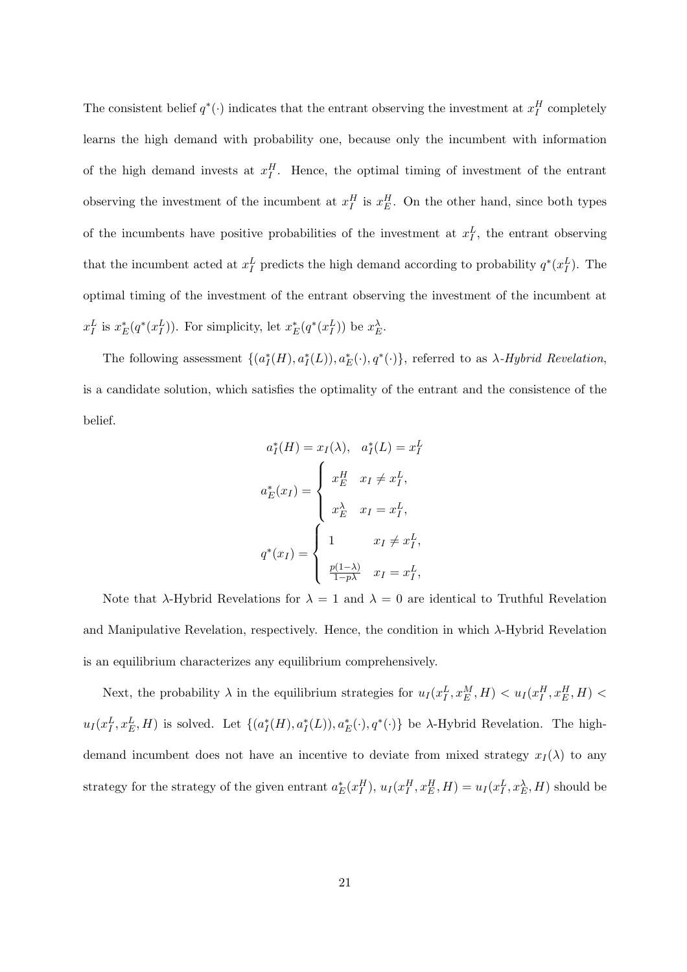The consistent belief  $q^*(\cdot)$  indicates that the entrant observing the investment at  $x_I^H$  completely learns the high demand with probability one, because only the incumbent with information of the high demand invests at  $x_I^H$ . Hence, the optimal timing of investment of the entrant observing the investment of the incumbent at  $x_I^H$  is  $x_E^H$ . On the other hand, since both types of the incumbents have positive probabilities of the investment at  $x_I^L$ , the entrant observing that the incumbent acted at  $x_I^L$  predicts the high demand according to probability  $q^*(x_I^L)$ . The optimal timing of the investment of the entrant observing the investment of the incumbent at  $x_I^L$  is  $x_E^*(q^*(x_I^L))$ . For simplicity, let  $x_E^*(q^*(x_I^L))$  be  $x_E^{\lambda}$ .

The following assessment  $\{(a_I^*(H), a_I^*(L)), a_E^*(\cdot), q^*(\cdot)\}\$ , referred to as  $\lambda$ -*Hybrid Revelation*, is a candidate solution, which satisfies the optimality of the entrant and the consistence of the belief.

$$
a_I^*(H) = x_I(\lambda), \quad a_I^*(L) = x_I^L
$$

$$
a_E^*(x_I) = \begin{cases} x_E^H & x_I \neq x_I^L, \\ x_E^{\lambda} & x_I = x_I^L, \\ 1 & x_I \neq x_I^L, \\ \frac{p(1-\lambda)}{1-p\lambda} & x_I = x_I^L, \end{cases}
$$

Note that *λ*-Hybrid Revelations for  $\lambda = 1$  and  $\lambda = 0$  are identical to Truthful Revelation and Manipulative Revelation, respectively. Hence, the condition in which *λ*-Hybrid Revelation is an equilibrium characterizes any equilibrium comprehensively.

Next, the probability  $\lambda$  in the equilibrium strategies for  $u_I(x_I^L, x_E^M, H) < u_I(x_I^H, x_E^H, H)$  $u_I(x_I^L, x_E^L, H)$  is solved. Let  $\{(a_I^*(H), a_I^*(L)), a_E^*(\cdot), q^*(\cdot)\}\)$  be  $\lambda$ -Hybrid Revelation. The highdemand incumbent does not have an incentive to deviate from mixed strategy  $x_I(\lambda)$  to any strategy for the strategy of the given entrant  $a_E^*(x_I^H)$ ,  $u_I(x_I^H, x_E^H, H) = u_I(x_I^L, x_E^{\lambda}, H)$  should be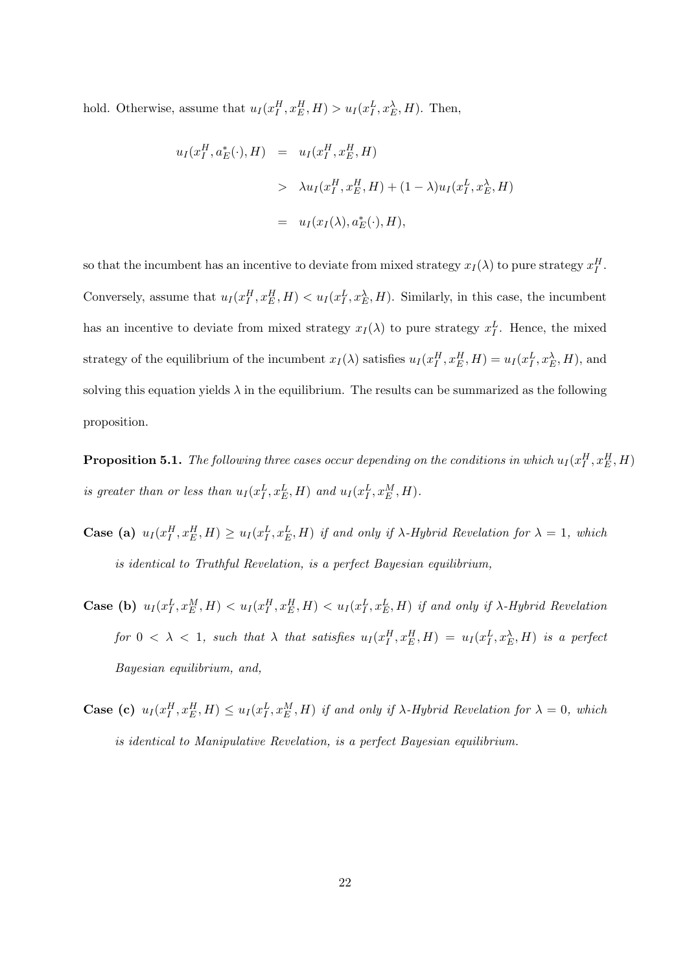hold. Otherwise, assume that  $u_I(x_I^H, x_E^H, H) > u_I(x_I^L, x_E^{\lambda}, H)$ . Then,

$$
u_I(x_I^H, a_E^*(\cdot), H) = u_I(x_I^H, x_E^H, H)
$$
  
> 
$$
\lambda u_I(x_I^H, x_E^H, H) + (1 - \lambda)u_I(x_I^L, x_E^{\lambda}, H)
$$
  
= 
$$
u_I(x_I(\lambda), a_E^*(\cdot), H),
$$

so that the incumbent has an incentive to deviate from mixed strategy  $x_I(\lambda)$  to pure strategy  $x_I^H$ . Conversely, assume that  $u_I(x_I^H, x_E^H, H) < u_I(x_I^L, x_E^{\lambda}, H)$ . Similarly, in this case, the incumbent has an incentive to deviate from mixed strategy  $x_I(\lambda)$  to pure strategy  $x_I^L$ . Hence, the mixed strategy of the equilibrium of the incumbent  $x_I(\lambda)$  satisfies  $u_I(x_I^H, x_E^H, H) = u_I(x_I^L, x_E^{\lambda}, H)$ , and solving this equation yields  $\lambda$  in the equilibrium. The results can be summarized as the following proposition.

**Proposition 5.1.** *The following three cases occur depending on the conditions in which*  $u_I(x_I^H, x_E^H, H)$ *is greater than or less than*  $u_I(x_I^L, x_E^L, H)$  *and*  $u_I(x_I^L, x_E^M, H)$ .

- **Case** (a)  $u_I(x_I^H, x_E^H, H) \geq u_I(x_I^L, x_E^L, H)$  if and only if  $\lambda$ -Hybrid Revelation for  $\lambda = 1$ , which *is identical to Truthful Revelation, is a perfect Bayesian equilibrium,*
- **Case (b)**  $u_I(x_I^L, x_E^M, H) < u_I(x_I^H, x_E^H, H) < u_I(x_I^L, x_E^L, H)$  if and only if  $\lambda$ -Hybrid Revelation for  $0 < \lambda < 1$ , such that  $\lambda$  that satisfies  $u_I(x_I^H, x_E^H, H) = u_I(x_I^L, x_E^{\lambda}, H)$  is a perfect *Bayesian equilibrium, and,*
- **Case (c)**  $u_I(x_I^H, x_E^H, H) \leq u_I(x_I^L, x_E^M, H)$  if and only if  $\lambda$ -Hybrid Revelation for  $\lambda = 0$ , which *is identical to Manipulative Revelation, is a perfect Bayesian equilibrium.*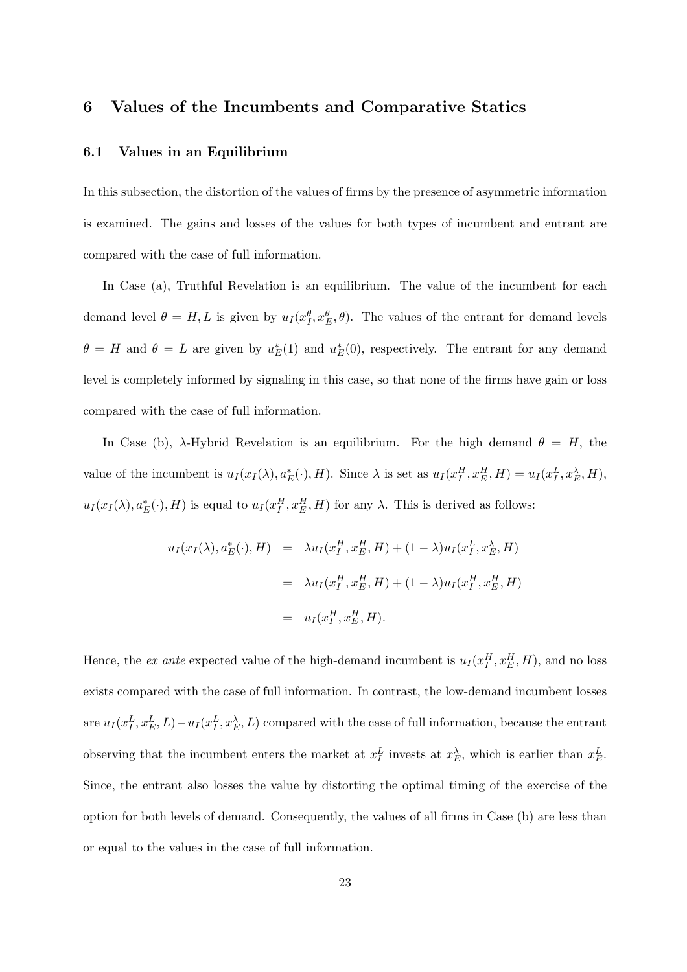### **6 Values of the Incumbents and Comparative Statics**

#### **6.1 Values in an Equilibrium**

In this subsection, the distortion of the values of firms by the presence of asymmetric information is examined. The gains and losses of the values for both types of incumbent and entrant are compared with the case of full information.

In Case (a), Truthful Revelation is an equilibrium. The value of the incumbent for each demand level  $\theta = H, L$  is given by  $u_I(x_I^{\theta}, x_E^{\theta}, \theta)$ . The values of the entrant for demand levels  $\theta = H$  and  $\theta = L$  are given by  $u_E^*(1)$  and  $u_E^*(0)$ , respectively. The entrant for any demand level is completely informed by signaling in this case, so that none of the firms have gain or loss compared with the case of full information.

In Case (b), *λ*-Hybrid Revelation is an equilibrium. For the high demand *θ* = *H*, the value of the incumbent is  $u_I(x_I(\lambda), a_E^*(\cdot), H)$ . Since  $\lambda$  is set as  $u_I(x_I^H, x_E^H, H) = u_I(x_I^L, x_E^{\lambda}, H)$ ,  $u_I(x_I(\lambda), a_E^*(\cdot), H)$  is equal to  $u_I(x_I^H, x_E^H, H)$  for any  $\lambda$ . This is derived as follows:

$$
u_I(x_I(\lambda), a_E^*(\cdot), H) = \lambda u_I(x_I^H, x_E^H, H) + (1 - \lambda) u_I(x_I^L, x_E^{\lambda}, H)
$$
  

$$
= \lambda u_I(x_I^H, x_E^H, H) + (1 - \lambda) u_I(x_I^H, x_E^H, H)
$$
  

$$
= u_I(x_I^H, x_E^H, H).
$$

Hence, the *ex ante* expected value of the high-demand incumbent is  $u_I(x_I^H, x_E^H, H)$ , and no loss exists compared with the case of full information. In contrast, the low-demand incumbent losses are  $u_I(x_I^L, x_E^L, L) - u_I(x_I^L, x_E^{\lambda}, L)$  compared with the case of full information, because the entrant observing that the incumbent enters the market at  $x_F^L$  invests at  $x_E^{\lambda}$ , which is earlier than  $x_E^L$ . Since, the entrant also losses the value by distorting the optimal timing of the exercise of the option for both levels of demand. Consequently, the values of all firms in Case (b) are less than or equal to the values in the case of full information.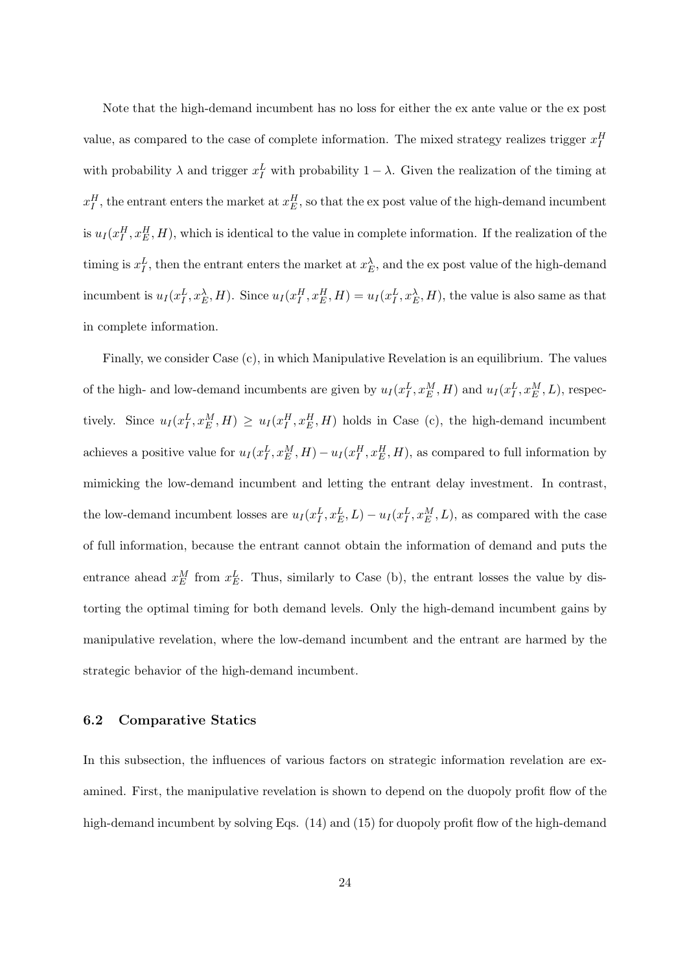Note that the high-demand incumbent has no loss for either the ex ante value or the ex post value, as compared to the case of complete information. The mixed strategy realizes trigger  $x_I^H$ with probability  $\lambda$  and trigger  $x_I^L$  with probability  $1 - \lambda$ . Given the realization of the timing at  $x_I^H$ , the entrant enters the market at  $x_E^H$ , so that the ex post value of the high-demand incumbent is  $u_I(x_I^H, x_E^H, H)$ , which is identical to the value in complete information. If the realization of the timing is  $x_I^L$ , then the entrant enters the market at  $x_E^{\lambda}$ , and the ex post value of the high-demand incumbent is  $u_I(x_I^L, x_E^{\lambda}, H)$ . Since  $u_I(x_I^H, x_E^H, H) = u_I(x_I^L, x_E^{\lambda}, H)$ , the value is also same as that in complete information.

Finally, we consider Case (c), in which Manipulative Revelation is an equilibrium. The values of the high- and low-demand incumbents are given by  $u_I(x_I^L, x_E^M, H)$  and  $u_I(x_I^L, x_E^M, L)$ , respectively. Since  $u_I(x_I^L, x_E^M, H) \geq u_I(x_I^H, x_E^H, H)$  holds in Case (c), the high-demand incumbent achieves a positive value for  $u_I(x_I^L, x_E^M, H) - u_I(x_I^H, x_E^H, H)$ , as compared to full information by mimicking the low-demand incumbent and letting the entrant delay investment. In contrast, the low-demand incumbent losses are  $u_I(x_I^L, x_E^L, L) - u_I(x_I^L, x_E^M, L)$ , as compared with the case of full information, because the entrant cannot obtain the information of demand and puts the entrance ahead  $x_E^M$  from  $x_E^L$ . Thus, similarly to Case (b), the entrant losses the value by distorting the optimal timing for both demand levels. Only the high-demand incumbent gains by manipulative revelation, where the low-demand incumbent and the entrant are harmed by the strategic behavior of the high-demand incumbent.

#### **6.2 Comparative Statics**

In this subsection, the influences of various factors on strategic information revelation are examined. First, the manipulative revelation is shown to depend on the duopoly profit flow of the high-demand incumbent by solving Eqs. (14) and (15) for duopoly profit flow of the high-demand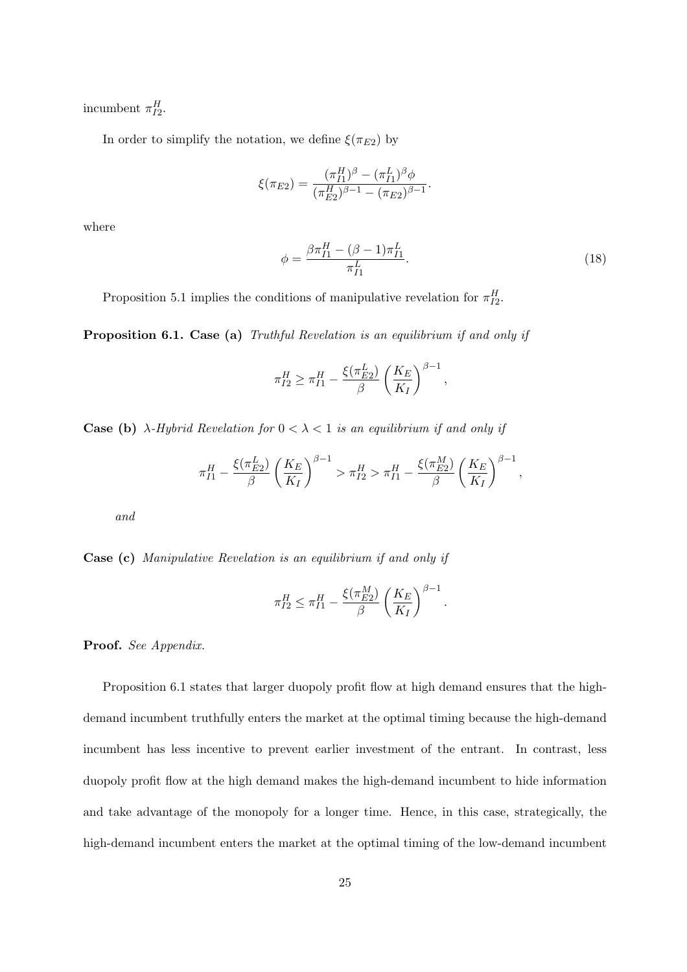incumbent  $\pi_{I2}^H$ .

In order to simplify the notation, we define  $\xi(\pi_{E2})$  by

$$
\xi(\pi_{E2}) = \frac{(\pi_{I1}^H)^{\beta} - (\pi_{I1}^L)^{\beta} \phi}{(\pi_{E2}^H)^{\beta - 1} - (\pi_{E2})^{\beta - 1}}.
$$

where

$$
\phi = \frac{\beta \pi_{I1}^H - (\beta - 1)\pi_{I1}^L}{\pi_{I1}^L}.
$$
\n(18)

*.*

Proposition 5.1 implies the conditions of manipulative revelation for  $\pi_{I2}^H$ .

**Proposition 6.1. Case (a)** *Truthful Revelation is an equilibrium if and only if*

$$
\pi_{I2}^H \ge \pi_{I1}^H - \frac{\xi(\pi_{E2}^L)}{\beta} \left(\frac{K_E}{K_I}\right)^{\beta - 1},
$$

**Case (b)**  $\lambda$ -*Hybrid Revelation for*  $0 < \lambda < 1$  *is an equilibrium if and only if* 

$$
\pi_{I1}^H - \frac{\xi(\pi_{E2}^L)}{\beta} \left(\frac{K_E}{K_I}\right)^{\beta - 1} > \pi_{I2}^H > \pi_{I1}^H - \frac{\xi(\pi_{E2}^M)}{\beta} \left(\frac{K_E}{K_I}\right)^{\beta - 1},
$$

*and*

**Case (c)** *Manipulative Revelation is an equilibrium if and only if*

$$
\pi_{I2}^H \leq \pi_{I1}^H - \frac{\xi(\pi_{E2}^M)}{\beta} \left(\frac{K_E}{K_I}\right)^{\beta - 1}
$$

**Proof.** *See Appendix.*

Proposition 6.1 states that larger duopoly profit flow at high demand ensures that the highdemand incumbent truthfully enters the market at the optimal timing because the high-demand incumbent has less incentive to prevent earlier investment of the entrant. In contrast, less duopoly profit flow at the high demand makes the high-demand incumbent to hide information and take advantage of the monopoly for a longer time. Hence, in this case, strategically, the high-demand incumbent enters the market at the optimal timing of the low-demand incumbent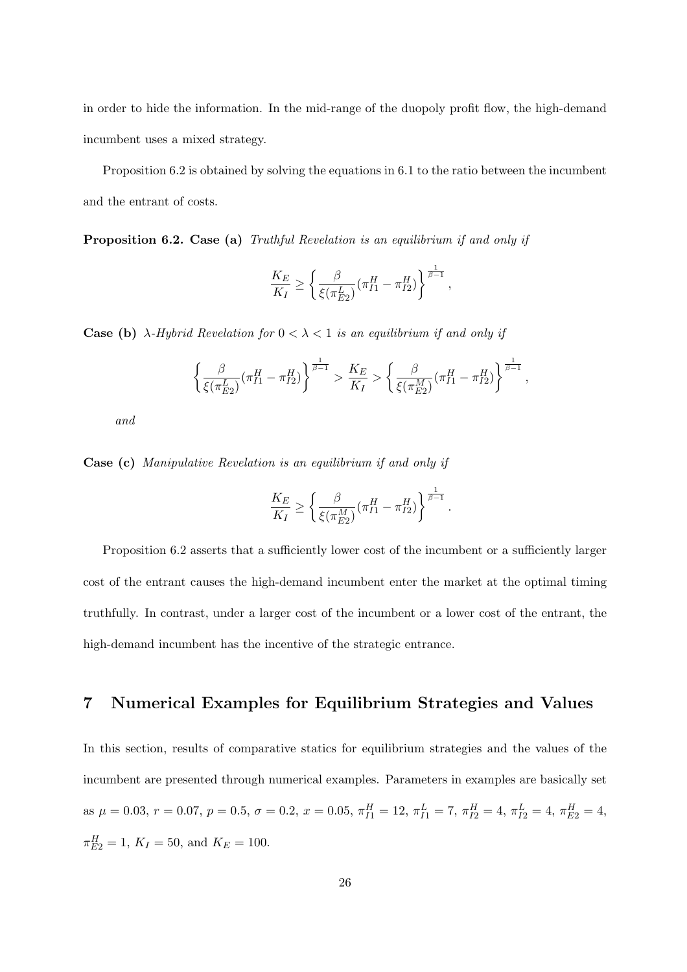in order to hide the information. In the mid-range of the duopoly profit flow, the high-demand incumbent uses a mixed strategy.

Proposition 6.2 is obtained by solving the equations in 6.1 to the ratio between the incumbent and the entrant of costs.

**Proposition 6.2. Case (a)** *Truthful Revelation is an equilibrium if and only if*

$$
\frac{K_E}{K_I} \ge \left\{ \frac{\beta}{\xi(\pi_{E2}^L)} (\pi_{I1}^H - \pi_{I2}^H) \right\}^{\frac{1}{\beta - 1}},
$$

**Case (b)** *λ-Hybrid Revelation for*  $0 < \lambda < 1$  *is an equilibrium if and only if* 

$$
\left\{\frac{\beta}{\xi(\pi_{E2}^L)}(\pi_{I1}^H-\pi_{I2}^H)\right\}^{\frac{1}{\beta-1}}>\frac{K_E}{K_I}>\left\{\frac{\beta}{\xi(\pi_{E2}^M)}(\pi_{I1}^H-\pi_{I2}^H)\right\}^{\frac{1}{\beta-1}},
$$

*and*

**Case (c)** *Manipulative Revelation is an equilibrium if and only if*

$$
\frac{K_E}{K_I} \ge \left\{ \frac{\beta}{\xi(\pi_{E2}^M)} (\pi_{I1}^H - \pi_{I2}^H) \right\}^{\frac{1}{\beta - 1}}.
$$

Proposition 6.2 asserts that a sufficiently lower cost of the incumbent or a sufficiently larger cost of the entrant causes the high-demand incumbent enter the market at the optimal timing truthfully. In contrast, under a larger cost of the incumbent or a lower cost of the entrant, the high-demand incumbent has the incentive of the strategic entrance.

## **7 Numerical Examples for Equilibrium Strategies and Values**

In this section, results of comparative statics for equilibrium strategies and the values of the incumbent are presented through numerical examples. Parameters in examples are basically set as  $\mu = 0.03$ ,  $r = 0.07$ ,  $p = 0.5$ ,  $\sigma = 0.2$ ,  $x = 0.05$ ,  $\pi_{I1}^H = 12$ ,  $\pi_{I1}^L = 7$ ,  $\pi_{I2}^H = 4$ ,  $\pi_{I2}^L = 4$ ,  $\pi_{E2}^H = 4$ ,  $\pi_{E2}^H = 1, K_I = 50, \text{ and } K_E = 100.$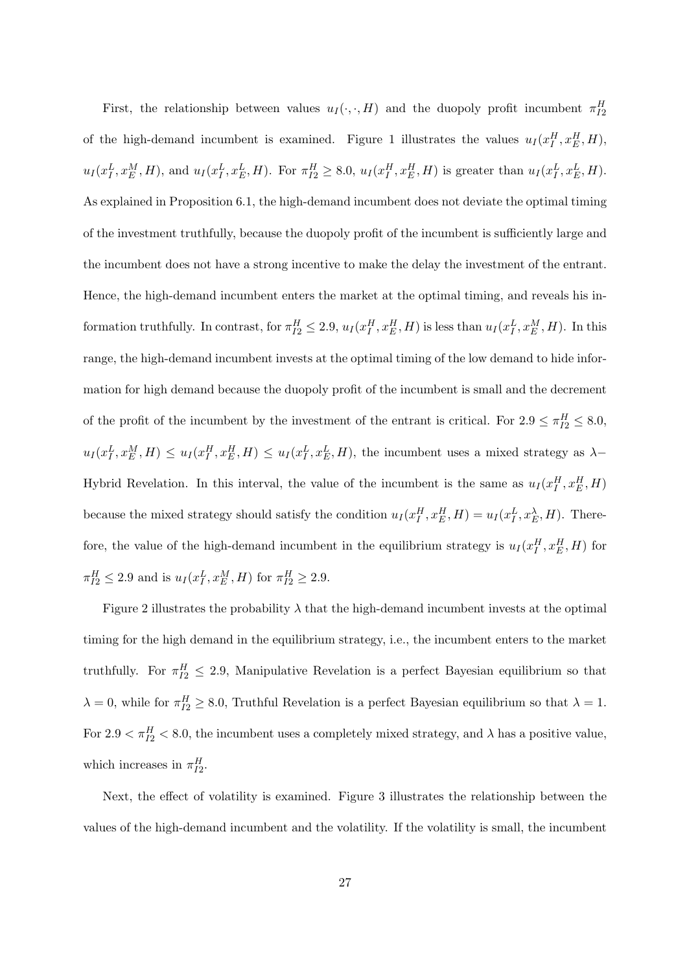First, the relationship between values  $u_I(\cdot, \cdot, H)$  and the duopoly profit incumbent  $\pi_{I2}^H$ of the high-demand incumbent is examined. Figure 1 illustrates the values  $u_I(x_I^H, x_E^H, H)$ ,  $u_I(x_I^L, x_E^M, H)$ , and  $u_I(x_I^L, x_E^L, H)$ . For  $\pi_{I2}^H \ge 8.0$ ,  $u_I(x_I^H, x_E^H, H)$  is greater than  $u_I(x_I^L, x_E^L, H)$ . As explained in Proposition 6.1, the high-demand incumbent does not deviate the optimal timing of the investment truthfully, because the duopoly profit of the incumbent is sufficiently large and the incumbent does not have a strong incentive to make the delay the investment of the entrant. Hence, the high-demand incumbent enters the market at the optimal timing, and reveals his information truthfully. In contrast, for  $\pi_{I2}^H \leq 2.9$ ,  $u_I(x_I^H, x_E^H, H)$  is less than  $u_I(x_I^L, x_E^M, H)$ . In this range, the high-demand incumbent invests at the optimal timing of the low demand to hide information for high demand because the duopoly profit of the incumbent is small and the decrement of the profit of the incumbent by the investment of the entrant is critical. For  $2.9 \leq \pi_{I2}^H \leq 8.0$ ,  $u_I(x_I^L, x_E^M, H) \leq u_I(x_I^H, x_E^H, H) \leq u_I(x_I^L, x_E^L, H)$ , the incumbent uses a mixed strategy as  $\lambda$ -Hybrid Revelation. In this interval, the value of the incumbent is the same as  $u_I(x_I^H, x_E^H, H)$ because the mixed strategy should satisfy the condition  $u_I(x_I^H, x_E^H, H) = u_I(x_I^L, x_E^{\lambda}, H)$ . Therefore, the value of the high-demand incumbent in the equilibrium strategy is  $u_I(x_I^H, x_E^H, H)$  for  $\pi_{I2}^H \le 2.9$  and is  $u_I(x_I^L, x_E^M, H)$  for  $\pi_{I2}^H \ge 2.9$ .

Figure 2 illustrates the probability  $\lambda$  that the high-demand incumbent invests at the optimal timing for the high demand in the equilibrium strategy, i.e., the incumbent enters to the market truthfully. For  $\pi_{I2}^H \leq 2.9$ , Manipulative Revelation is a perfect Bayesian equilibrium so that  $\lambda = 0$ , while for  $\pi_{I2}^H \geq 8.0$ , Truthful Revelation is a perfect Bayesian equilibrium so that  $\lambda = 1$ . For  $2.9 < \pi_{I2}^H < 8.0$ , the incumbent uses a completely mixed strategy, and  $\lambda$  has a positive value, which increases in  $\pi_{I2}^H$ .

Next, the effect of volatility is examined. Figure 3 illustrates the relationship between the values of the high-demand incumbent and the volatility. If the volatility is small, the incumbent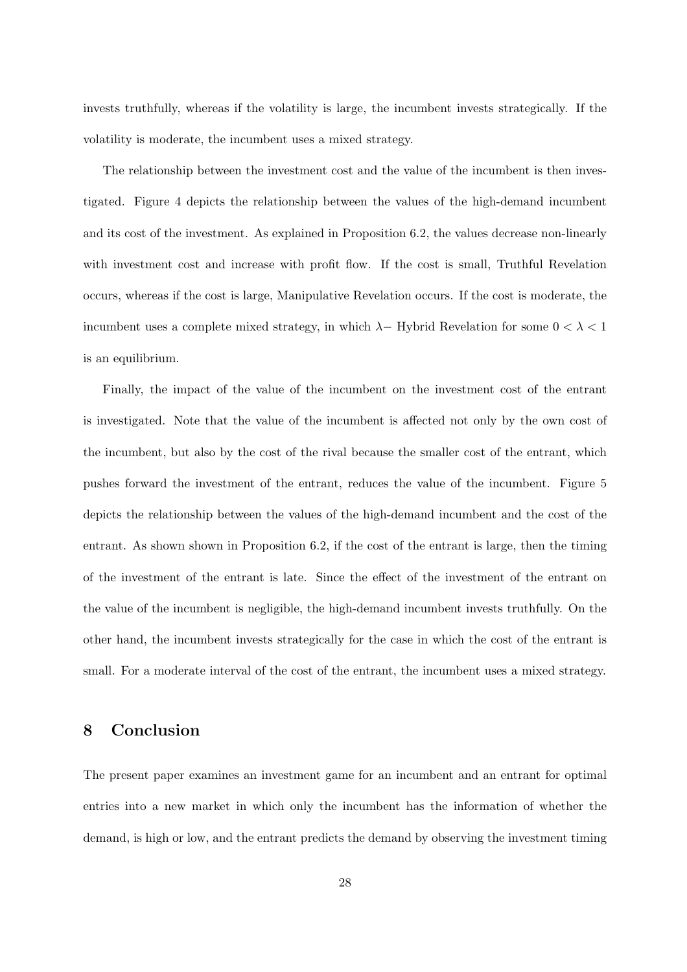invests truthfully, whereas if the volatility is large, the incumbent invests strategically. If the volatility is moderate, the incumbent uses a mixed strategy.

The relationship between the investment cost and the value of the incumbent is then investigated. Figure 4 depicts the relationship between the values of the high-demand incumbent and its cost of the investment. As explained in Proposition 6.2, the values decrease non-linearly with investment cost and increase with profit flow. If the cost is small, Truthful Revelation occurs, whereas if the cost is large, Manipulative Revelation occurs. If the cost is moderate, the incumbent uses a complete mixed strategy, in which  $\lambda$ − Hybrid Revelation for some  $0 < \lambda < 1$ is an equilibrium.

Finally, the impact of the value of the incumbent on the investment cost of the entrant is investigated. Note that the value of the incumbent is affected not only by the own cost of the incumbent, but also by the cost of the rival because the smaller cost of the entrant, which pushes forward the investment of the entrant, reduces the value of the incumbent. Figure 5 depicts the relationship between the values of the high-demand incumbent and the cost of the entrant. As shown shown in Proposition 6.2, if the cost of the entrant is large, then the timing of the investment of the entrant is late. Since the effect of the investment of the entrant on the value of the incumbent is negligible, the high-demand incumbent invests truthfully. On the other hand, the incumbent invests strategically for the case in which the cost of the entrant is small. For a moderate interval of the cost of the entrant, the incumbent uses a mixed strategy.

## **8 Conclusion**

The present paper examines an investment game for an incumbent and an entrant for optimal entries into a new market in which only the incumbent has the information of whether the demand, is high or low, and the entrant predicts the demand by observing the investment timing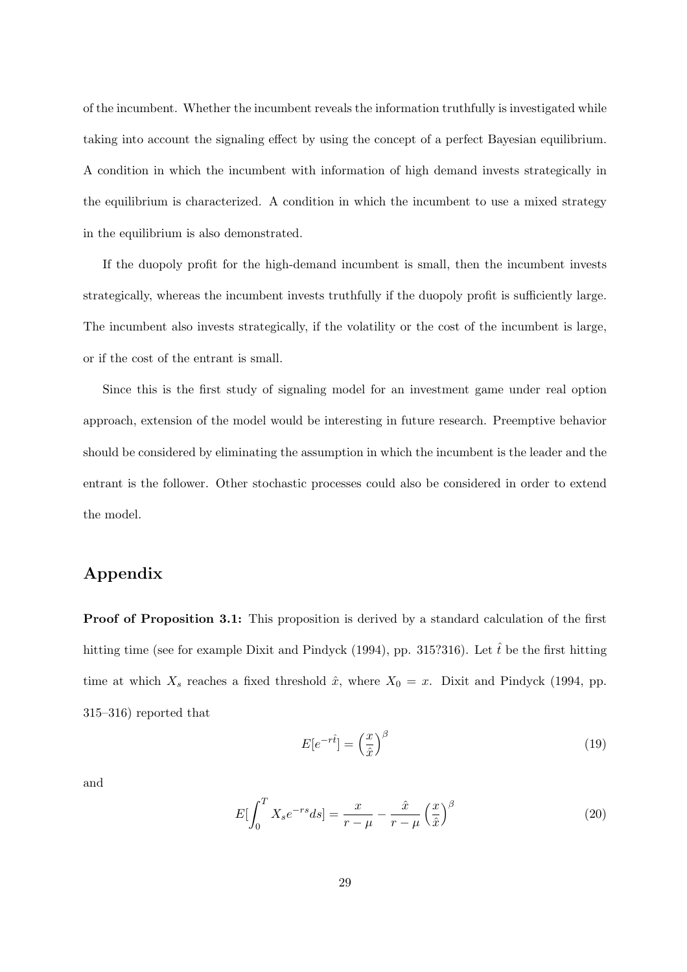of the incumbent. Whether the incumbent reveals the information truthfully is investigated while taking into account the signaling effect by using the concept of a perfect Bayesian equilibrium. A condition in which the incumbent with information of high demand invests strategically in the equilibrium is characterized. A condition in which the incumbent to use a mixed strategy in the equilibrium is also demonstrated.

If the duopoly profit for the high-demand incumbent is small, then the incumbent invests strategically, whereas the incumbent invests truthfully if the duopoly profit is sufficiently large. The incumbent also invests strategically, if the volatility or the cost of the incumbent is large, or if the cost of the entrant is small.

Since this is the first study of signaling model for an investment game under real option approach, extension of the model would be interesting in future research. Preemptive behavior should be considered by eliminating the assumption in which the incumbent is the leader and the entrant is the follower. Other stochastic processes could also be considered in order to extend the model.

# **Appendix**

**Proof of Proposition 3.1:** This proposition is derived by a standard calculation of the first hitting time (see for example Dixit and Pindyck (1994), pp. 315?316). Let  $\hat{t}$  be the first hitting time at which  $X_s$  reaches a fixed threshold  $\hat{x}$ , where  $X_0 = x$ . Dixit and Pindyck (1994, pp. 315–316) reported that

$$
E[e^{-r\hat{t}}] = \left(\frac{x}{\hat{x}}\right)^{\beta} \tag{19}
$$

and

$$
E\left[\int_0^T X_s e^{-rs} ds\right] = \frac{x}{r - \mu} - \frac{\hat{x}}{r - \mu} \left(\frac{x}{\hat{x}}\right)^{\beta} \tag{20}
$$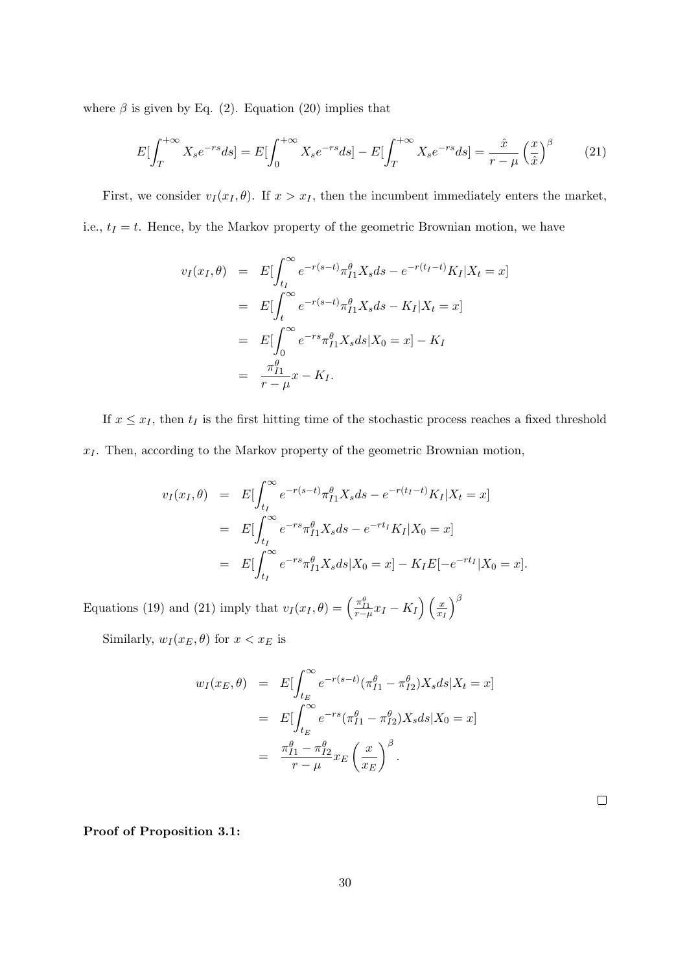where  $\beta$  is given by Eq. (2). Equation (20) implies that

$$
E\left[\int_{T}^{+\infty} X_s e^{-rs} ds\right] = E\left[\int_{0}^{+\infty} X_s e^{-rs} ds\right] - E\left[\int_{T}^{+\infty} X_s e^{-rs} ds\right] = \frac{\hat{x}}{r - \mu} \left(\frac{x}{\hat{x}}\right)^{\beta} \tag{21}
$$

First, we consider  $v_I(x_I, \theta)$ . If  $x > x_I$ , then the incumbent immediately enters the market, i.e.,  $t_I = t$ . Hence, by the Markov property of the geometric Brownian motion, we have

$$
v_I(x_I, \theta) = E[\int_{t_I}^{\infty} e^{-r(s-t)} \pi_{I1}^{\theta} X_s ds - e^{-r(t_I - t)} K_I | X_t = x]
$$
  
= 
$$
E[\int_{t}^{\infty} e^{-r(s-t)} \pi_{I1}^{\theta} X_s ds - K_I | X_t = x]
$$
  
= 
$$
E[\int_{0}^{\infty} e^{-rs} \pi_{I1}^{\theta} X_s ds | X_0 = x] - K_I
$$
  
= 
$$
\frac{\pi_{I1}^{\theta}}{r - \mu} x - K_I.
$$

If  $x \leq x_I$ , then  $t_I$  is the first hitting time of the stochastic process reaches a fixed threshold *x<sup>I</sup>* . Then, according to the Markov property of the geometric Brownian motion,

$$
v_I(x_I, \theta) = E[\int_{t_I}^{\infty} e^{-r(s-t)} \pi_{I1}^{\theta} X_s ds - e^{-r(t_I - t)} K_I | X_t = x]
$$
  
= 
$$
E[\int_{t_I}^{\infty} e^{-rs} \pi_{I1}^{\theta} X_s ds - e^{-rt_I} K_I | X_0 = x]
$$
  
= 
$$
E[\int_{t_I}^{\infty} e^{-rs} \pi_{I1}^{\theta} X_s ds | X_0 = x] - K_I E[-e^{-rt_I} | X_0 = x].
$$

Equations (19) and (21) imply that  $v_I(x_I, \theta) = \left(\frac{\pi_{I1}^{\theta}}{r - \mu} x_I - K_I\right) \left(\frac{x_I}{x_I}\right)$ *xI* )*β*

Similarly,  $w_I(x_E, \theta)$  for  $x < x_E$  is

$$
w_I(x_E, \theta) = E[\int_{t_E}^{\infty} e^{-r(s-t)} (\pi_{I1}^{\theta} - \pi_{I2}^{\theta}) X_s ds | X_t = x]
$$
  

$$
= E[\int_{t_E}^{\infty} e^{-rs} (\pi_{I1}^{\theta} - \pi_{I2}^{\theta}) X_s ds | X_0 = x]
$$
  

$$
= \frac{\pi_{I1}^{\theta} - \pi_{I2}^{\theta}}{r - \mu} x_E \left(\frac{x}{x_E}\right)^{\beta}.
$$

 $\Box$ 

**Proof of Proposition 3.1:**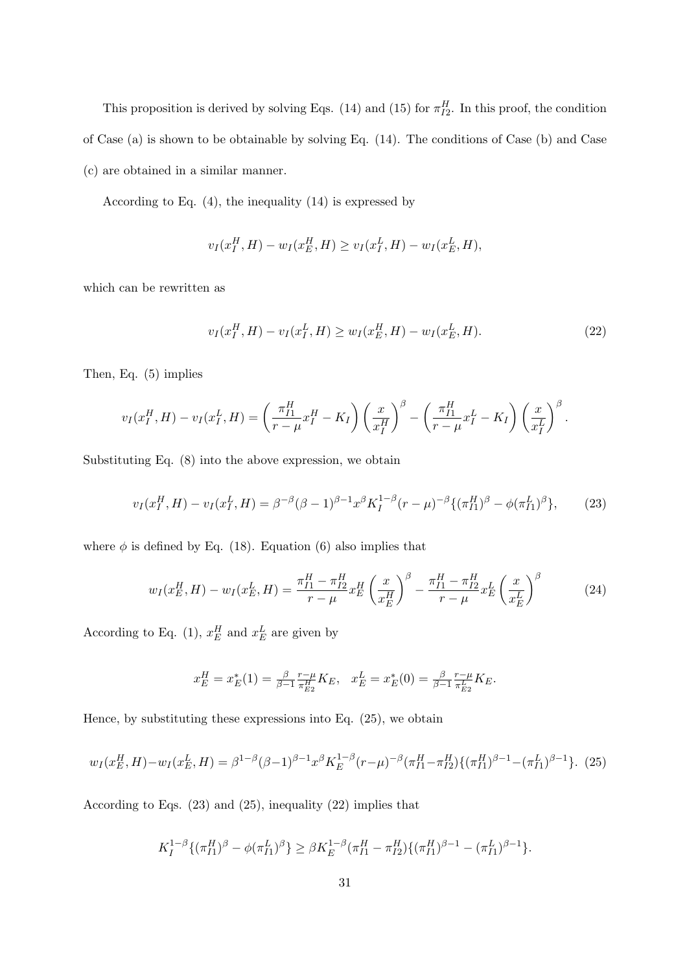This proposition is derived by solving Eqs. (14) and (15) for  $\pi_{I2}^H$ . In this proof, the condition of Case (a) is shown to be obtainable by solving Eq. (14). The conditions of Case (b) and Case (c) are obtained in a similar manner.

According to Eq. (4), the inequality (14) is expressed by

$$
v_I(x_I^H, H) - w_I(x_E^H, H) \ge v_I(x_I^L, H) - w_I(x_E^L, H),
$$

which can be rewritten as

$$
v_I(x_I^H, H) - v_I(x_I^L, H) \ge w_I(x_E^H, H) - w_I(x_E^L, H). \tag{22}
$$

Then, Eq. (5) implies

$$
v_I(x_I^H, H) - v_I(x_I^L, H) = \left(\frac{\pi_{I1}^H}{r - \mu} x_I^H - K_I\right) \left(\frac{x}{x_I^H}\right)^\beta - \left(\frac{\pi_{I1}^H}{r - \mu} x_I^L - K_I\right) \left(\frac{x}{x_I^L}\right)^\beta.
$$

Substituting Eq. (8) into the above expression, we obtain

$$
v_I(x_I^H, H) - v_I(x_I^L, H) = \beta^{-\beta} (\beta - 1)^{\beta - 1} x^{\beta} K_I^{1 - \beta} (r - \mu)^{-\beta} \{ (\pi_{I1}^H)^{\beta} - \phi (\pi_{I1}^L)^{\beta} \}, \tag{23}
$$

where  $\phi$  is defined by Eq. (18). Equation (6) also implies that

$$
w_I(x_E^H, H) - w_I(x_E^L, H) = \frac{\pi_{I1}^H - \pi_{I2}^H}{r - \mu} x_E^H \left(\frac{x}{x_E^H}\right)^{\beta} - \frac{\pi_{I1}^H - \pi_{I2}^H}{r - \mu} x_E^L \left(\frac{x}{x_E^L}\right)^{\beta} \tag{24}
$$

According to Eq. (1),  $x_E^H$  and  $x_E^L$  are given by

$$
x_E^H = x_E^*(1) = \frac{\beta}{\beta - 1} \frac{r - \mu}{\pi E_2} K_E, \quad x_E^L = x_E^*(0) = \frac{\beta}{\beta - 1} \frac{r - \mu}{\pi E_2} K_E.
$$

Hence, by substituting these expressions into Eq. (25), we obtain

$$
w_I(x_E^H, H) - w_I(x_E^L, H) = \beta^{1-\beta} (\beta - 1)^{\beta - 1} x^{\beta} K_E^{1-\beta} (r - \mu)^{-\beta} (\pi_{I1}^H - \pi_{I2}^H) \{ (\pi_{I1}^H)^{\beta - 1} - (\pi_{I1}^L)^{\beta - 1} \}.
$$
 (25)

According to Eqs. (23) and (25), inequality (22) implies that

$$
K_I^{1-\beta}\{(\pi_{I1}^H)^{\beta} - \phi(\pi_{I1}^L)^{\beta}\} \ge \beta K_E^{1-\beta}(\pi_{I1}^H - \pi_{I2}^H)\{(\pi_{I1}^H)^{\beta-1} - (\pi_{I1}^L)^{\beta-1}\}.
$$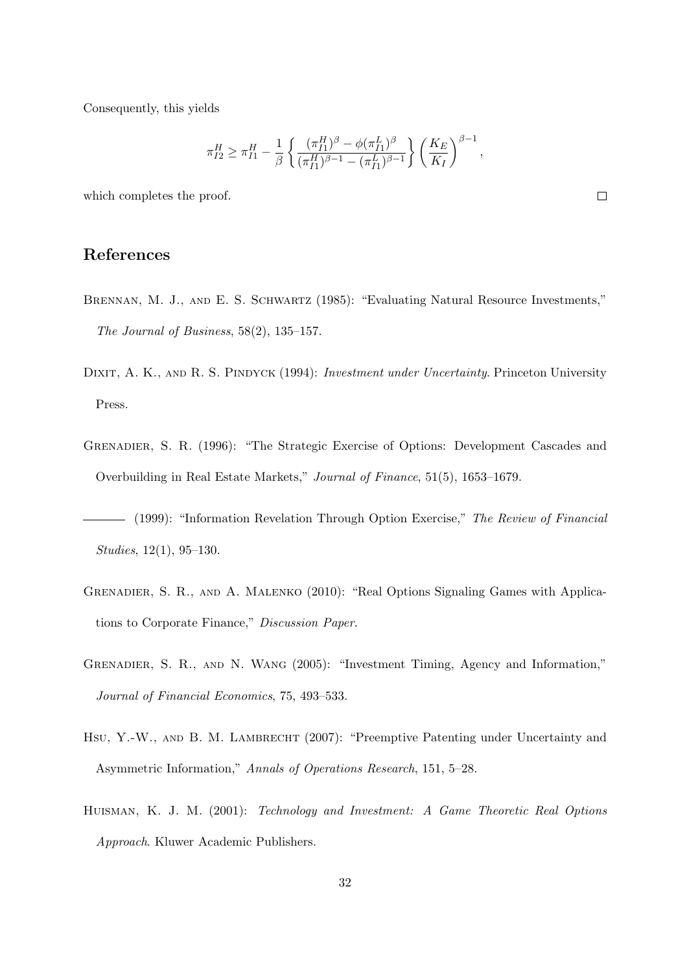Consequently, this yields

$$
\pi_{I2}^H \ge \pi_{I1}^H - \frac{1}{\beta} \left\{ \frac{(\pi_{I1}^H)^{\beta} - \phi(\pi_{I1}^L)^{\beta}}{(\pi_{I1}^H)^{\beta - 1} - (\pi_{I1}^L)^{\beta - 1}} \right\} \left( \frac{K_E}{K_I} \right)^{\beta - 1}
$$

which completes the proof.

# **References**

- BRENNAN, M. J., AND E. S. SCHWARTZ (1985): "Evaluating Natural Resource Investments," *The Journal of Business*, 58(2), 135–157.
- DIXIT, A. K., AND R. S. PINDYCK (1994): *Investment under Uncertainty*. Princeton University Press.
- Grenadier, S. R. (1996): "The Strategic Exercise of Options: Development Cascades and Overbuilding in Real Estate Markets," *Journal of Finance*, 51(5), 1653–1679.
- (1999): "Information Revelation Through Option Exercise," *The Review of Financial Studies*, 12(1), 95–130.
- Grenadier, S. R., and A. Malenko (2010): "Real Options Signaling Games with Applications to Corporate Finance," *Discussion Paper*.
- Grenadier, S. R., and N. Wang (2005): "Investment Timing, Agency and Information," *Journal of Financial Economics*, 75, 493–533.
- HSU, Y.-W., AND B. M. LAMBRECHT (2007): "Preemptive Patenting under Uncertainty and Asymmetric Information," *Annals of Operations Research*, 151, 5–28.
- Huisman, K. J. M. (2001): *Technology and Investment: A Game Theoretic Real Options Approach*. Kluwer Academic Publishers.

 $\Box$ 

*,*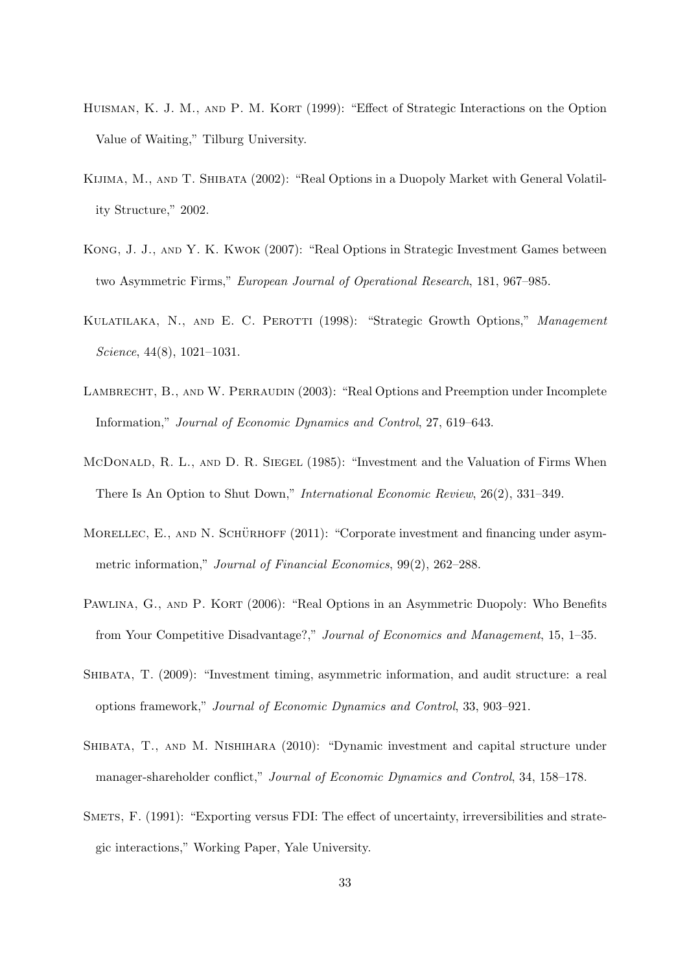- HUISMAN, K. J. M., AND P. M. KORT (1999): "Effect of Strategic Interactions on the Option Value of Waiting," Tilburg University.
- Kijima, M., and T. Shibata (2002): "Real Options in a Duopoly Market with General Volatility Structure," 2002.
- Kong, J. J., and Y. K. Kwok (2007): "Real Options in Strategic Investment Games between two Asymmetric Firms," *European Journal of Operational Research*, 181, 967–985.
- Kulatilaka, N., and E. C. Perotti (1998): "Strategic Growth Options," *Management Science*, 44(8), 1021–1031.
- LAMBRECHT, B., AND W. PERRAUDIN (2003): "Real Options and Preemption under Incomplete Information," *Journal of Economic Dynamics and Control*, 27, 619–643.
- McDonald, R. L., and D. R. Siegel (1985): "Investment and the Valuation of Firms When There Is An Option to Shut Down," *International Economic Review*, 26(2), 331–349.
- MORELLEC, E., AND N. SCHÜRHOFF  $(2011)$ : "Corporate investment and financing under asymmetric information," *Journal of Financial Economics*, 99(2), 262–288.
- PAWLINA, G., AND P. KORT (2006): "Real Options in an Asymmetric Duopoly: Who Benefits from Your Competitive Disadvantage?," *Journal of Economics and Management*, 15, 1–35.
- Shibata, T. (2009): "Investment timing, asymmetric information, and audit structure: a real options framework," *Journal of Economic Dynamics and Control*, 33, 903–921.
- Shibata, T., and M. Nishihara (2010): "Dynamic investment and capital structure under manager-shareholder conflict," *Journal of Economic Dynamics and Control*, 34, 158–178.
- Smets, F. (1991): "Exporting versus FDI: The effect of uncertainty, irreversibilities and strategic interactions," Working Paper, Yale University.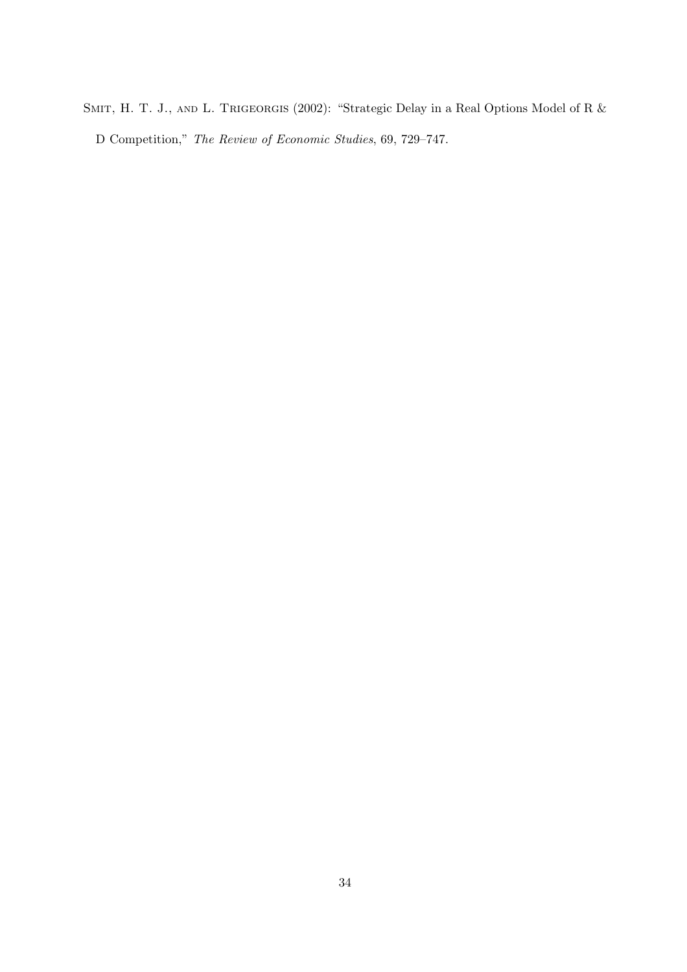SMIT, H. T. J., AND L. TRIGEORGIS (2002): "Strategic Delay in a Real Options Model of R & D Competition," *The Review of Economic Studies*, 69, 729–747.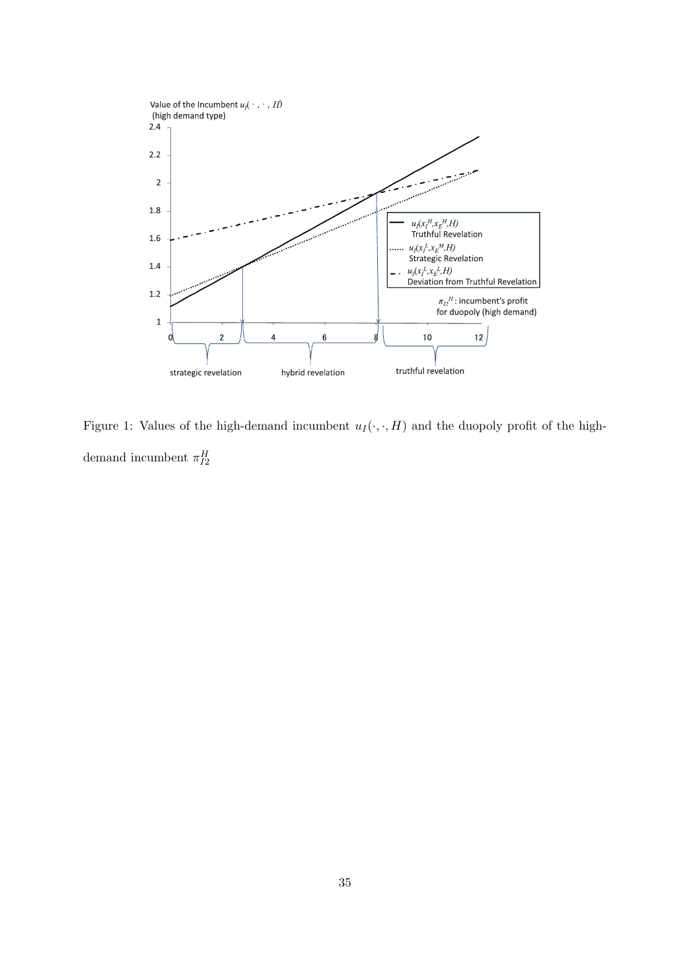

Figure 1: Values of the high-demand incumbent  $u_I(\cdot, \cdot, H)$  and the duopoly profit of the highdemand incumbent  $\pi_{I2}^H$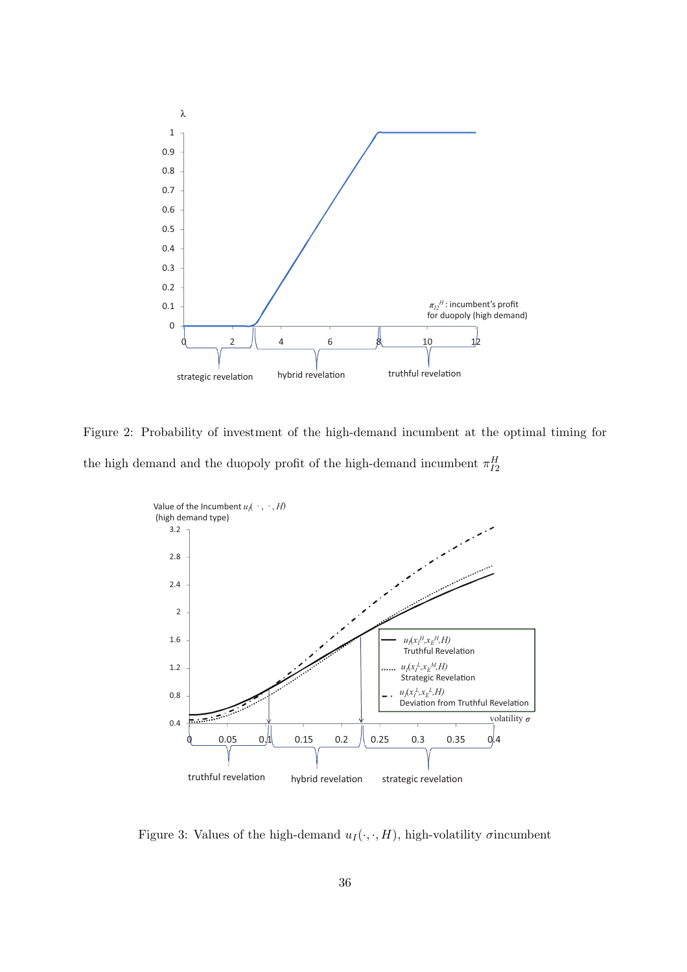

Figure 2: Probability of investment of the high-demand incumbent at the optimal timing for the high demand and the duopoly profit of the high-demand incumbent  $\pi_{I2}^H$ 



Figure 3: Values of the high-demand  $u_I(\cdot, \cdot, H)$ , high-volatility *σ*incumbent